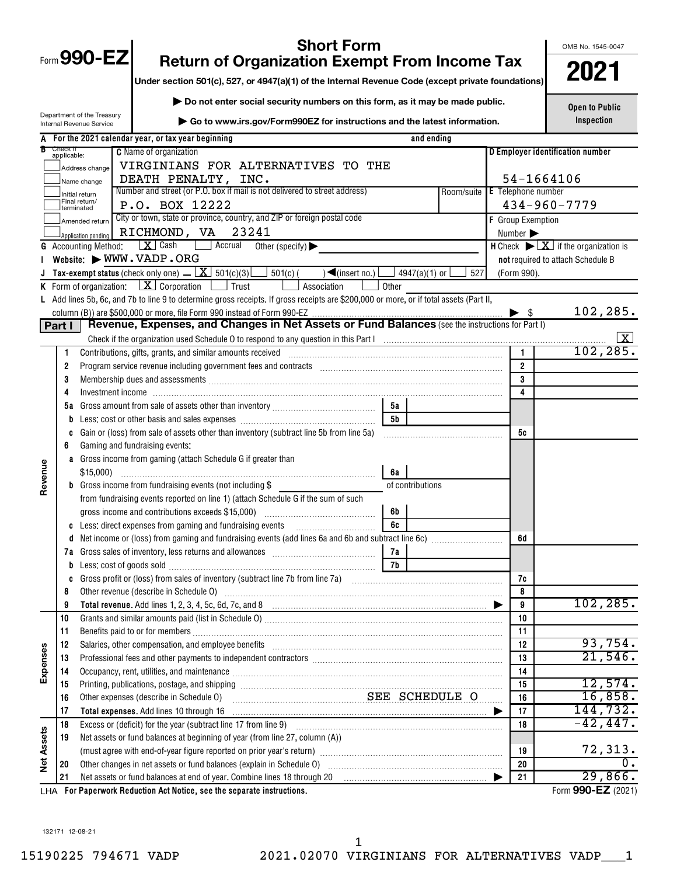|                   |                         |                                                        | <b>Short Form</b>                                                                                                                                                                                                              |                                                                                                                |  |                | OMB No. 1545-0047                                                                  |                    |  |
|-------------------|-------------------------|--------------------------------------------------------|--------------------------------------------------------------------------------------------------------------------------------------------------------------------------------------------------------------------------------|----------------------------------------------------------------------------------------------------------------|--|----------------|------------------------------------------------------------------------------------|--------------------|--|
|                   |                         | Form 990-EZ                                            | <b>Return of Organization Exempt From Income Tax</b>                                                                                                                                                                           |                                                                                                                |  |                |                                                                                    |                    |  |
|                   |                         |                                                        | Under section 501(c), 527, or 4947(a)(1) of the Internal Revenue Code (except private foundations)                                                                                                                             |                                                                                                                |  |                | 2021                                                                               |                    |  |
|                   |                         |                                                        | Do not enter social security numbers on this form, as it may be made public.                                                                                                                                                   |                                                                                                                |  |                |                                                                                    |                    |  |
|                   |                         | Department of the Treasury<br>Internal Revenue Service | ► Go to www.irs.gov/Form990EZ for instructions and the latest information.                                                                                                                                                     |                                                                                                                |  |                | <b>Open to Public</b><br>Inspection                                                |                    |  |
|                   |                         |                                                        | For the 2021 calendar year, or tax year beginning                                                                                                                                                                              | and ending                                                                                                     |  |                |                                                                                    |                    |  |
| В                 | Check if<br>applicable: |                                                        | <b>C</b> Name of organization                                                                                                                                                                                                  |                                                                                                                |  |                | D Employer identification number                                                   |                    |  |
|                   |                         | Address change                                         | VIRGINIANS FOR ALTERNATIVES TO THE                                                                                                                                                                                             |                                                                                                                |  |                |                                                                                    |                    |  |
|                   |                         | Name change                                            | DEATH PENALTY, INC.                                                                                                                                                                                                            |                                                                                                                |  |                | 54-1664106                                                                         |                    |  |
|                   |                         | Initial return                                         | Number and street (or P.O. box if mail is not delivered to street address)                                                                                                                                                     | Room/suite                                                                                                     |  |                | <b>E</b> Telephone number                                                          |                    |  |
|                   | terminated              | Final return/                                          | P.O. BOX 12222                                                                                                                                                                                                                 |                                                                                                                |  |                | $434 - 960 - 7779$                                                                 |                    |  |
|                   |                         | Amended return                                         | City or town, state or province, country, and ZIP or foreign postal code                                                                                                                                                       |                                                                                                                |  |                | <b>F</b> Group Exemption                                                           |                    |  |
|                   |                         | Application pending                                    | 23241<br>RICHMOND, VA                                                                                                                                                                                                          |                                                                                                                |  | Number >       |                                                                                    |                    |  |
|                   |                         | <b>G</b> Accounting Method:                            | $\boxed{\mathbf{X}}$ Cash<br>Accrual<br>Other (specify) $\blacktriangleright$                                                                                                                                                  |                                                                                                                |  |                | H Check $\blacktriangleright \lfloor \underline{X} \rfloor$ if the organization is |                    |  |
|                   |                         |                                                        | Website: WWW.VADP.ORG                                                                                                                                                                                                          |                                                                                                                |  |                | not required to attach Schedule B                                                  |                    |  |
|                   |                         |                                                        | <b>Tax-exempt status</b> (check only one) $\angle$ <b>X</b> 501(c)(3)<br>$501(c)$ (<br>$\sqrt{\frac{2}{1}}$ (insert no.)                                                                                                       | $4947(a)(1)$ or<br>527                                                                                         |  | (Form 990).    |                                                                                    |                    |  |
|                   |                         |                                                        | <b>K</b> Form of organization: $X$ Corporation $\Box$ Trust<br>Association<br>Other<br>L Add lines 5b, 6c, and 7b to line 9 to determine gross receipts. If gross receipts are \$200,000 or more, or if total assets (Part II, |                                                                                                                |  |                |                                                                                    |                    |  |
|                   |                         |                                                        | column (B)) are \$500,000 or more, file Form 990 instead of Form 990-EZ                                                                                                                                                        |                                                                                                                |  |                |                                                                                    | 102, 285.          |  |
|                   | Part I                  |                                                        |                                                                                                                                                                                                                                |                                                                                                                |  |                |                                                                                    |                    |  |
|                   |                         |                                                        |                                                                                                                                                                                                                                |                                                                                                                |  |                |                                                                                    |                    |  |
|                   | 1                       |                                                        | Contributions, gifts, grants, and similar amounts received encontractional contributions, gifts, grants, and similar amounts received encontractional control of the state of the state of the state of the state of the state |                                                                                                                |  | $\mathbf{1}$   |                                                                                    | 102, 285.          |  |
|                   | $\overline{2}$          |                                                        |                                                                                                                                                                                                                                |                                                                                                                |  | $\overline{2}$ |                                                                                    |                    |  |
|                   | 3                       |                                                        | Membership dues and assessments [111] Membership and assessments [11] Membership and assessments [11] Membership and assessments [11] Membership and assessments [11] Membership and assessments [11] Membership and assessmen |                                                                                                                |  | 3              |                                                                                    |                    |  |
|                   | 4                       |                                                        |                                                                                                                                                                                                                                |                                                                                                                |  | 4              |                                                                                    |                    |  |
|                   | 5a                      |                                                        | 5а                                                                                                                                                                                                                             |                                                                                                                |  |                |                                                                                    |                    |  |
|                   |                         |                                                        | 5 <sub>b</sub>                                                                                                                                                                                                                 |                                                                                                                |  |                |                                                                                    |                    |  |
|                   |                         |                                                        | Gain or (loss) from sale of assets other than inventory (subtract line 5b from line 5a)                                                                                                                                        |                                                                                                                |  | 5c             |                                                                                    |                    |  |
|                   | 6                       |                                                        | Gaming and fundraising events:                                                                                                                                                                                                 |                                                                                                                |  |                |                                                                                    |                    |  |
|                   | a                       |                                                        | Gross income from gaming (attach Schedule G if greater than                                                                                                                                                                    |                                                                                                                |  |                |                                                                                    |                    |  |
| Revenue           |                         | \$15,000                                               | 6a                                                                                                                                                                                                                             |                                                                                                                |  |                |                                                                                    |                    |  |
|                   |                         |                                                        | <b>b</b> Gross income from fundraising events (not including \$                                                                                                                                                                | of contributions                                                                                               |  |                |                                                                                    |                    |  |
|                   |                         |                                                        | from fundraising events reported on line 1) (attach Schedule G if the sum of such                                                                                                                                              |                                                                                                                |  |                |                                                                                    |                    |  |
|                   |                         |                                                        | gross income and contributions exceeds \$15,000)<br>6b<br>6c                                                                                                                                                                   |                                                                                                                |  |                |                                                                                    |                    |  |
|                   | d                       |                                                        | c Less: direct expenses from gaming and fundraising events<br>Net income or (loss) from gaming and fundraising events (add lines 6a and 6b and subtract line 6c) [[[[[[[[[[[                                                   |                                                                                                                |  | 6d             |                                                                                    |                    |  |
|                   | 7a                      |                                                        | 7а                                                                                                                                                                                                                             |                                                                                                                |  |                |                                                                                    |                    |  |
|                   |                         |                                                        | 7b                                                                                                                                                                                                                             |                                                                                                                |  |                |                                                                                    |                    |  |
|                   | C                       |                                                        |                                                                                                                                                                                                                                |                                                                                                                |  | 7c             |                                                                                    |                    |  |
|                   | 8                       |                                                        | Other revenue (describe in Schedule O)                                                                                                                                                                                         |                                                                                                                |  | 8              |                                                                                    |                    |  |
|                   | 9                       |                                                        |                                                                                                                                                                                                                                |                                                                                                                |  | 9              |                                                                                    | 102, 285.          |  |
|                   | 10                      |                                                        |                                                                                                                                                                                                                                |                                                                                                                |  | 10             |                                                                                    |                    |  |
|                   | 11                      |                                                        |                                                                                                                                                                                                                                |                                                                                                                |  | 11             |                                                                                    |                    |  |
|                   | 12                      |                                                        | Salaries, other compensation, and employee benefits [11] manufactures and the compensation and the compensation, and employee benefits [11] manufactures and the compensation and the compensation and the competition of the  |                                                                                                                |  | 12             |                                                                                    | 93,754.            |  |
|                   | 13                      |                                                        |                                                                                                                                                                                                                                |                                                                                                                |  | 13<br>14       |                                                                                    | 21,546.            |  |
| Expenses          | 14                      |                                                        |                                                                                                                                                                                                                                | Occupancy, rent, utilities, and maintenance manufactured and announcement of the manufacture of the manufactur |  |                |                                                                                    |                    |  |
|                   | 15                      |                                                        |                                                                                                                                                                                                                                |                                                                                                                |  | 15             |                                                                                    | 12,574.<br>16,858. |  |
|                   | 16                      |                                                        | SEE SCHEDULE O<br>Other expenses (describe in Schedule O)                                                                                                                                                                      |                                                                                                                |  | 16             |                                                                                    | 144,732.           |  |
|                   | 17<br>18                |                                                        | Total expenses. Add lines 10 through 16                                                                                                                                                                                        |                                                                                                                |  | 17<br>18       |                                                                                    | $-42,447$ .        |  |
|                   | 19                      |                                                        | Net assets or fund balances at beginning of year (from line 27, column (A))                                                                                                                                                    |                                                                                                                |  |                |                                                                                    |                    |  |
| <b>Net Assets</b> |                         |                                                        |                                                                                                                                                                                                                                |                                                                                                                |  | 19             |                                                                                    | 72,313.            |  |
|                   | 20                      |                                                        |                                                                                                                                                                                                                                |                                                                                                                |  | 20             |                                                                                    |                    |  |
|                   | 21                      |                                                        | Net assets or fund balances at end of year. Combine lines 18 through 20                                                                                                                                                        |                                                                                                                |  | 21             |                                                                                    | 29,866.            |  |
|                   |                         |                                                        | LHA For Paperwork Reduction Act Notice, see the separate instructions.                                                                                                                                                         |                                                                                                                |  |                | Form 990-EZ (2021)                                                                 |                    |  |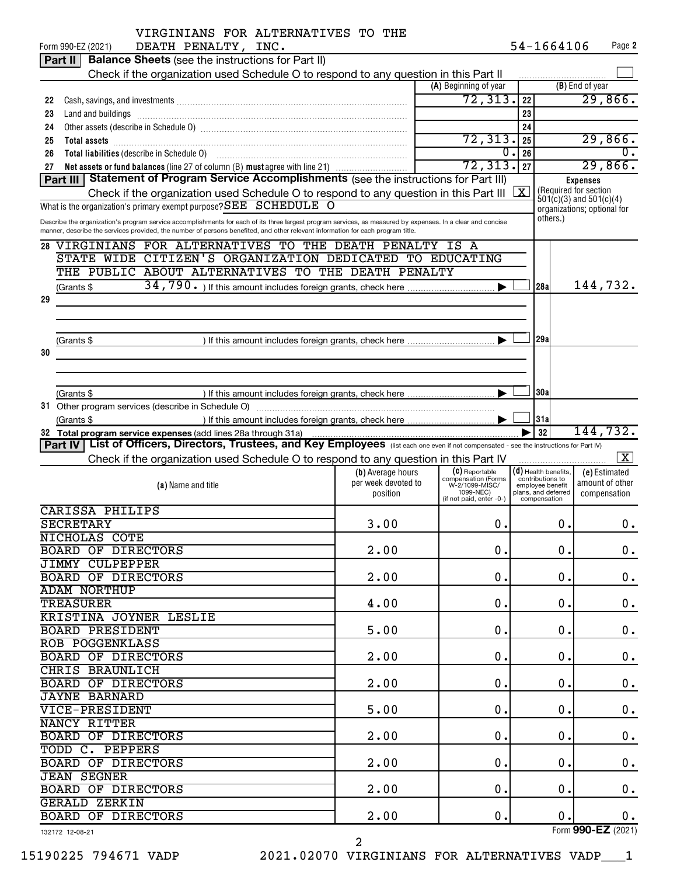|  | VIRGINIANS FOR ALTERNATIVES TO THE |  |
|--|------------------------------------|--|
|  |                                    |  |

|    | <b>Balance Sheets</b> (see the instructions for Part II)<br>Part II                                                                                         |                                 |                                       |            |                                          |                                                       |
|----|-------------------------------------------------------------------------------------------------------------------------------------------------------------|---------------------------------|---------------------------------------|------------|------------------------------------------|-------------------------------------------------------|
|    | Check if the organization used Schedule O to respond to any question in this Part II                                                                        |                                 |                                       |            |                                          |                                                       |
|    |                                                                                                                                                             |                                 | (A) Beginning of year                 |            |                                          | (B) End of year                                       |
| 22 | Cash, savings, and investments [111] [12] cash and a series and investment in the cash of the cash of the cash                                              |                                 | 72, 313.                              | 22         |                                          | 29,866.                                               |
| 23 |                                                                                                                                                             |                                 |                                       | 23         |                                          |                                                       |
| 24 |                                                                                                                                                             |                                 |                                       | 24         |                                          |                                                       |
| 25 |                                                                                                                                                             |                                 | 72, 313.                              | 25         |                                          | 29,866.                                               |
| 26 |                                                                                                                                                             |                                 | 0.                                    | 26         |                                          |                                                       |
| 27 | Net assets or fund balances (line 27 of column (B) must agree with line 21)                                                                                 |                                 | 72, 313.   27                         |            |                                          | 29,866.                                               |
|    | Part III Statement of Program Service Accomplishments (see the instructions for Part III)                                                                   |                                 |                                       |            |                                          | <b>Expenses</b>                                       |
|    | Check if the organization used Schedule O to respond to any question in this Part III                                                                       |                                 |                                       | $\sqrt{X}$ |                                          | (Required for section)<br>$501(c)(3)$ and $501(c)(4)$ |
|    | What is the organization's primary exempt purpose? SEE SCHEDULE O                                                                                           |                                 |                                       |            |                                          | organizations; optional for                           |
|    | Describe the organization's program service accomplishments for each of its three largest program services, as measured by expenses. In a clear and concise |                                 |                                       |            | others.)                                 |                                                       |
|    | manner, describe the services provided, the number of persons benefited, and other relevant information for each program title.                             |                                 |                                       |            |                                          |                                                       |
| 28 | VIRGINIANS FOR ALTERNATIVES TO THE DEATH PENALTY IS A                                                                                                       |                                 |                                       |            |                                          |                                                       |
|    | CITIZEN'S ORGANIZATION DEDICATED TO EDUCATING<br>STATE WIDE                                                                                                 |                                 |                                       |            |                                          |                                                       |
|    | THE PUBLIC<br>ABOUT ALTERNATIVES TO THE DEATH PENALTY                                                                                                       |                                 |                                       |            |                                          |                                                       |
|    | (Grants \$                                                                                                                                                  |                                 |                                       |            | 28a                                      | 144,732.                                              |
| 29 |                                                                                                                                                             |                                 |                                       |            |                                          |                                                       |
|    |                                                                                                                                                             |                                 |                                       |            |                                          |                                                       |
|    |                                                                                                                                                             |                                 |                                       |            |                                          |                                                       |
|    | (Grants \$                                                                                                                                                  |                                 |                                       |            | 29a                                      |                                                       |
| 30 |                                                                                                                                                             |                                 |                                       |            |                                          |                                                       |
|    |                                                                                                                                                             |                                 |                                       |            |                                          |                                                       |
|    |                                                                                                                                                             |                                 |                                       |            |                                          |                                                       |
|    | (Grants \$                                                                                                                                                  |                                 |                                       |            | 130a                                     |                                                       |
|    |                                                                                                                                                             |                                 |                                       |            |                                          |                                                       |
|    | (Grants \$                                                                                                                                                  |                                 |                                       |            | 31a                                      |                                                       |
|    | 32 Total program service expenses (add lines 28a through 31a)                                                                                               |                                 |                                       |            | 32                                       | 144,732.                                              |
|    | Part IV   List of Officers, Directors, Trustees, and Key Employees (list each one even if not compensated - see the instructions for Part IV)               |                                 |                                       |            |                                          |                                                       |
|    | Check if the organization used Schedule O to respond to any question in this Part IV                                                                        |                                 |                                       |            |                                          | $\vert$ X $\vert$                                     |
|    |                                                                                                                                                             | (b) Average hours               | (C) Reportable<br>compensation (Forms |            | (d) Health benefits,<br>contributions to | (e) Estimated                                         |
|    | (a) Name and title                                                                                                                                          | per week devoted to<br>position | W-2/1099-MISC/<br>1099-NEC)           |            | employee benefit<br>plans, and deferred  | amount of other<br>compensation                       |
|    |                                                                                                                                                             |                                 | (if not paid, enter -0-)              |            | compensation                             |                                                       |
|    | <b>CARISSA PHILIPS</b>                                                                                                                                      |                                 |                                       |            |                                          |                                                       |
|    | <b>SECRETARY</b>                                                                                                                                            | 3.00                            | 0.                                    |            | 0.                                       | 0.                                                    |
|    | <b>NICHOLAS COTE</b>                                                                                                                                        |                                 |                                       |            |                                          |                                                       |
|    | <b>BOARD OF DIRECTORS</b>                                                                                                                                   | 2.00                            | $\boldsymbol{0}$ .                    |            | $\mathbf 0$ .                            | $0$ .                                                 |
|    | <b>JIMMY CULPEPPER</b>                                                                                                                                      |                                 |                                       |            |                                          |                                                       |
|    | <b>BOARD OF DIRECTORS</b>                                                                                                                                   | 2.00                            | $\mathbf 0$ .                         |            | $\mathbf 0$ .                            | 0.                                                    |
|    | <b>ADAM NORTHUP</b><br><b>TREASURER</b>                                                                                                                     | 4.00                            | $0$ .                                 |            |                                          |                                                       |
|    |                                                                                                                                                             |                                 |                                       |            | 0.                                       | 0.                                                    |
|    | KRISTINA JOYNER LESLIE<br><b>BOARD PRESIDENT</b>                                                                                                            | 5.00                            | $0$ .                                 |            | 0.                                       | 0.                                                    |
|    | <b>ROB POGGENKLASS</b>                                                                                                                                      |                                 |                                       |            |                                          |                                                       |
|    | <b>BOARD OF DIRECTORS</b>                                                                                                                                   | 2.00                            | $\mathbf 0$ .                         |            | 0.                                       | $0$ .                                                 |
|    | <b>CHRIS BRAUNLICH</b>                                                                                                                                      |                                 |                                       |            |                                          |                                                       |
|    | <b>BOARD OF DIRECTORS</b>                                                                                                                                   | 2.00                            | $0$ .                                 |            | 0.                                       | 0.                                                    |
|    | <b>JAYNE BARNARD</b>                                                                                                                                        |                                 |                                       |            |                                          |                                                       |
|    | VICE-PRESIDENT                                                                                                                                              | 5.00                            | $\mathbf 0$ .                         |            | 0.                                       | $0$ .                                                 |
|    | NANCY RITTER                                                                                                                                                |                                 |                                       |            |                                          |                                                       |
|    | <b>BOARD OF DIRECTORS</b>                                                                                                                                   | 2.00                            | $\mathbf 0$ .                         |            | 0.                                       | $0$ .                                                 |
|    | TODD C. PEPPERS                                                                                                                                             |                                 |                                       |            |                                          |                                                       |
|    | <b>BOARD OF DIRECTORS</b>                                                                                                                                   | 2.00                            | $0$ .                                 |            | 0.                                       | 0.                                                    |
|    | <b>JEAN SEGNER</b>                                                                                                                                          |                                 |                                       |            |                                          |                                                       |
|    | <b>BOARD OF DIRECTORS</b>                                                                                                                                   | 2.00                            | $0$ .                                 |            | $\mathbf 0$ .                            | 0.                                                    |
|    | <b>GERALD ZERKIN</b>                                                                                                                                        |                                 |                                       |            |                                          |                                                       |
|    | <b>BOARD OF DIRECTORS</b>                                                                                                                                   | 2.00                            | $\mathbf 0$ .                         |            | $\mathbf 0$ .                            | 0.                                                    |
|    |                                                                                                                                                             |                                 |                                       |            |                                          |                                                       |

132172 12-08-21

Form (2021) **990-EZ**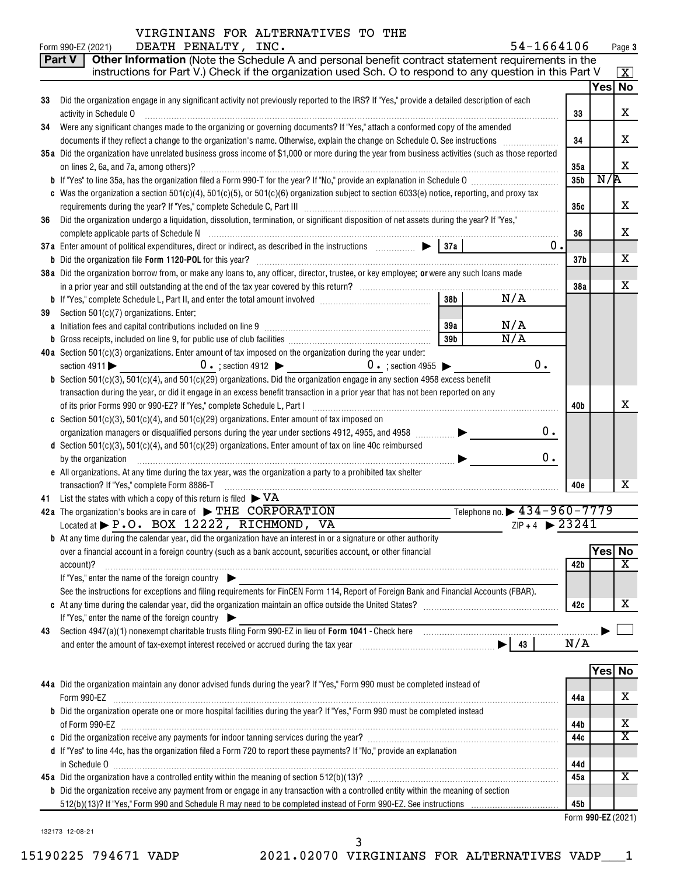### *VIRGINIANS FOR ALTERNATIVES TO THE*

|    | 54-1664106<br>DEATH PENALTY, INC.<br>Form 990-EZ (2021)                                                                                           |                 | Page 3                  |
|----|---------------------------------------------------------------------------------------------------------------------------------------------------|-----------------|-------------------------|
|    | Other Information (Note the Schedule A and personal benefit contract statement requirements in the<br><b>Part V</b>                               |                 |                         |
|    | instructions for Part V.) Check if the organization used Sch. O to respond to any question in this Part V                                         |                 | $\boxed{\textbf{X}}$    |
|    |                                                                                                                                                   |                 | Yes No                  |
| 33 | Did the organization engage in any significant activity not previously reported to the IRS? If "Yes," provide a detailed description of each      |                 |                         |
|    | activity in Schedule O                                                                                                                            | 33              | x                       |
| 34 | Were any significant changes made to the organizing or governing documents? If "Yes," attach a conformed copy of the amended                      |                 |                         |
|    | documents if they reflect a change to the organization's name. Otherwise, explain the change on Schedule O. See instructions <i>macroomage</i>    | 34              | x                       |
|    | 35a Did the organization have unrelated business gross income of \$1,000 or more during the year from business activities (such as those reported |                 |                         |
|    |                                                                                                                                                   | 35a             | x                       |
|    |                                                                                                                                                   | 35 <sub>b</sub> | N/R                     |
|    | c Was the organization a section 501(c)(4), 501(c)(5), or 501(c)(6) organization subject to section 6033(e) notice, reporting, and proxy tax      |                 | x                       |
|    |                                                                                                                                                   | 35с             |                         |
| 36 | Did the organization undergo a liquidation, dissolution, termination, or significant disposition of net assets during the year? If "Yes,"         | 36              | х                       |
|    | 37a Enter amount of political expenditures, direct or indirect, as described in the instructions $\Box$ $\Box$ $\Box$ 37a                         | $0$ .           |                         |
|    |                                                                                                                                                   | 37 <sub>b</sub> | х                       |
|    | 38a Did the organization borrow from, or make any loans to, any officer, director, trustee, or key employee; or were any such loans made          |                 |                         |
|    |                                                                                                                                                   | 38a             | X                       |
|    | 38 <sub>b</sub><br>N/A                                                                                                                            |                 |                         |
| 39 | Section 501(c)(7) organizations. Enter:                                                                                                           |                 |                         |
|    | N/A<br>39a                                                                                                                                        |                 |                         |
|    | N/A<br>39 <sub>b</sub>                                                                                                                            |                 |                         |
|    | 40a Section 501(c)(3) organizations. Enter amount of tax imposed on the organization during the year under:                                       |                 |                         |
|    | 0.<br>$0 \cdot$ ; section 4912 $\triangleright$ 0 $\cdot$ ; section 4955 $\triangleright$<br>section $4911$                                       |                 |                         |
|    | <b>b</b> Section 501(c)(3), 501(c)(4), and 501(c)(29) organizations. Did the organization engage in any section 4958 excess benefit               |                 |                         |
|    | transaction during the year, or did it engage in an excess benefit transaction in a prior year that has not been reported on any                  |                 |                         |
|    |                                                                                                                                                   | 40b             | х                       |
|    | <b>c</b> Section 501(c)(3), 501(c)(4), and 501(c)(29) organizations. Enter amount of tax imposed on                                               |                 |                         |
|    | 0.<br>organization managers or disqualified persons during the year under sections 4912, 4955, and 4958                                           |                 |                         |
|    | d Section 501(c)(3), 501(c)(4), and 501(c)(29) organizations. Enter amount of tax on line 40c reimbursed                                          |                 |                         |
|    | 0.<br>by the organization                                                                                                                         |                 |                         |
|    | e All organizations. At any time during the tax year, was the organization a party to a prohibited tax shelter                                    |                 |                         |
|    | transaction? If "Yes," complete Form 8886-T                                                                                                       | 40e             | x                       |
|    | 41 List the states with which a copy of this return is filed $\triangleright$ VA                                                                  |                 |                         |
|    | Telephone no. > 434-960-7779<br>42a The organization's books are in care of $\blacktriangleright$ THE CORPORATION                                 |                 |                         |
|    | $ZIP + 4$ 23241<br>Located at P.O. BOX 12222, RICHMOND, VA                                                                                        |                 |                         |
|    | <b>b</b> At any time during the calendar year, did the organization have an interest in or a signature or other authority                         |                 | Yes No                  |
|    | over a financial account in a foreign country (such as a bank account, securities account, or other financial                                     | 42b             | $\overline{\mathbf{X}}$ |
|    | account)?<br>If "Yes," enter the name of the foreign country                                                                                      |                 |                         |
|    | See the instructions for exceptions and filing requirements for FinCEN Form 114, Report of Foreign Bank and Financial Accounts (FBAR).            |                 |                         |
|    |                                                                                                                                                   | 42c             | х                       |
|    | If "Yes," enter the name of the foreign country                                                                                                   |                 |                         |
| 43 |                                                                                                                                                   |                 |                         |
|    |                                                                                                                                                   | N/A             |                         |
|    |                                                                                                                                                   |                 |                         |
|    |                                                                                                                                                   |                 | Yes No                  |
|    | 44a Did the organization maintain any donor advised funds during the year? If "Yes," Form 990 must be completed instead of                        |                 |                         |
|    | Form 990-EZ                                                                                                                                       | 44a             | х                       |
|    | b Did the organization operate one or more hospital facilities during the year? If "Yes," Form 990 must be completed instead                      |                 |                         |
|    |                                                                                                                                                   | 44b             | х                       |
|    |                                                                                                                                                   | 44c             | $\overline{\textbf{x}}$ |
|    | d If "Yes" to line 44c, has the organization filed a Form 720 to report these payments? If "No," provide an explanation                           |                 |                         |
|    |                                                                                                                                                   | 44d             |                         |
|    |                                                                                                                                                   | 45a             | X                       |
|    | <b>b</b> Did the organization receive any payment from or engage in any transaction with a controlled entity within the meaning of section        |                 |                         |
|    |                                                                                                                                                   | 45b             |                         |
|    |                                                                                                                                                   |                 | Form 990-EZ (2021)      |

132173 12-08-21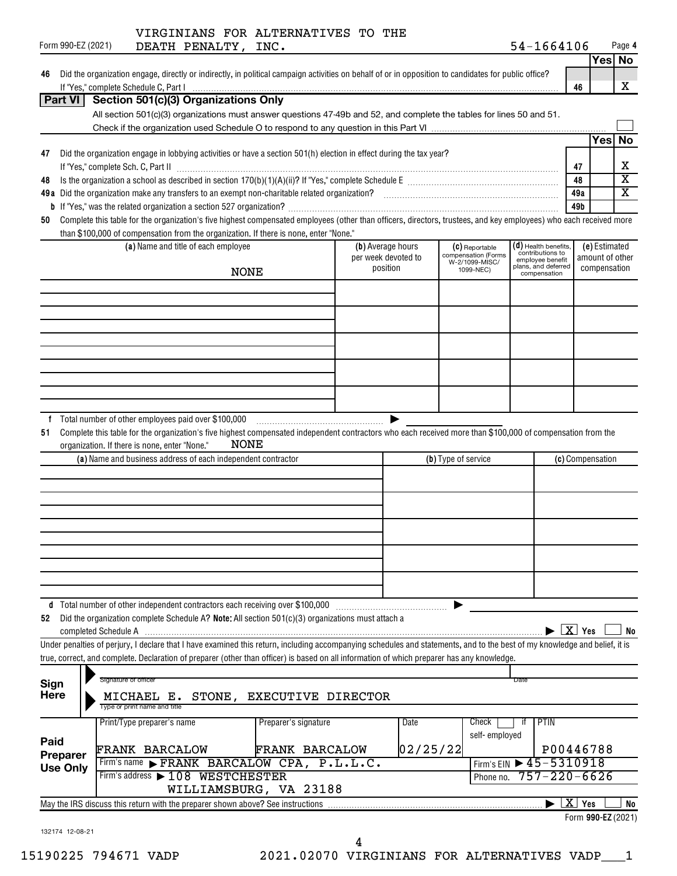|  | VIRGINIANS FOR ALTERNATIVES TO THE |  |
|--|------------------------------------|--|
|  |                                    |  |

|      |                             |                                                                                                                                                                                                                                                   |                                     | VIRGINIANS FOR ALTERNATIVES TO THE |                     |                                       |                                      |                          |                  |                         |
|------|-----------------------------|---------------------------------------------------------------------------------------------------------------------------------------------------------------------------------------------------------------------------------------------------|-------------------------------------|------------------------------------|---------------------|---------------------------------------|--------------------------------------|--------------------------|------------------|-------------------------|
|      | Form 990-EZ (2021)          |                                                                                                                                                                                                                                                   | DEATH PENALTY, INC.                 |                                    |                     |                                       | 54-1664106                           |                          |                  | Page 4                  |
|      |                             |                                                                                                                                                                                                                                                   |                                     |                                    |                     |                                       |                                      |                          | Yes No           |                         |
| 46   |                             | Did the organization engage, directly or indirectly, in political campaign activities on behalf of or in opposition to candidates for public office?                                                                                              |                                     |                                    |                     |                                       |                                      | 46                       |                  | X                       |
|      | Part VI                     | Section 501(c)(3) Organizations Only                                                                                                                                                                                                              |                                     |                                    |                     |                                       |                                      |                          |                  |                         |
|      |                             | All section 501(c)(3) organizations must answer questions 47-49b and 52, and complete the tables for lines 50 and 51.                                                                                                                             |                                     |                                    |                     |                                       |                                      |                          |                  |                         |
|      |                             |                                                                                                                                                                                                                                                   |                                     |                                    |                     |                                       |                                      |                          |                  |                         |
|      |                             |                                                                                                                                                                                                                                                   |                                     |                                    |                     |                                       |                                      |                          | Yesl             | <b>No</b>               |
| 47   |                             | Did the organization engage in lobbying activities or have a section 501(h) election in effect during the tax year?                                                                                                                               |                                     |                                    |                     |                                       |                                      |                          |                  |                         |
|      |                             | If "Yes," complete Sch. C, Part II                                                                                                                                                                                                                |                                     |                                    |                     |                                       |                                      | 47                       |                  | х                       |
| 48   |                             |                                                                                                                                                                                                                                                   |                                     |                                    |                     |                                       |                                      | 48                       |                  | $\overline{\text{x}}$   |
|      |                             |                                                                                                                                                                                                                                                   |                                     |                                    |                     |                                       |                                      | 49a                      |                  | $\overline{\textbf{X}}$ |
|      |                             | <b>b</b> If "Yes," was the related organization a section 527 organization?<br>Complete this table for the organization's five highest compensated employees (other than officers, directors, trustees, and key employees) who each received more |                                     |                                    |                     |                                       |                                      | 49b                      |                  |                         |
| 50   |                             | than \$100,000 of compensation from the organization. If there is none, enter "None."                                                                                                                                                             |                                     |                                    |                     |                                       |                                      |                          |                  |                         |
|      |                             |                                                                                                                                                                                                                                                   | (a) Name and title of each employee |                                    | (b) Average hours   | (C) Reportable                        | $(d)$ Health benefits,               |                          | (e) Estimated    |                         |
|      |                             |                                                                                                                                                                                                                                                   |                                     |                                    | per week devoted to | compensation (Forms<br>W-2/1099-MISC/ | contributions to<br>emplovee benefit |                          | amount of other  |                         |
|      |                             |                                                                                                                                                                                                                                                   | <b>NONE</b>                         |                                    | position            | 1099-NEC)                             | plans, and deferred<br>compensation  |                          | compensation     |                         |
|      |                             |                                                                                                                                                                                                                                                   |                                     |                                    |                     |                                       |                                      |                          |                  |                         |
|      |                             |                                                                                                                                                                                                                                                   |                                     |                                    |                     |                                       |                                      |                          |                  |                         |
|      |                             |                                                                                                                                                                                                                                                   |                                     |                                    |                     |                                       |                                      |                          |                  |                         |
|      |                             |                                                                                                                                                                                                                                                   |                                     |                                    |                     |                                       |                                      |                          |                  |                         |
|      |                             |                                                                                                                                                                                                                                                   |                                     |                                    |                     |                                       |                                      |                          |                  |                         |
|      |                             |                                                                                                                                                                                                                                                   |                                     |                                    |                     |                                       |                                      |                          |                  |                         |
|      |                             |                                                                                                                                                                                                                                                   |                                     |                                    |                     |                                       |                                      |                          |                  |                         |
|      |                             |                                                                                                                                                                                                                                                   |                                     |                                    |                     |                                       |                                      |                          |                  |                         |
|      |                             |                                                                                                                                                                                                                                                   |                                     |                                    |                     |                                       |                                      |                          |                  |                         |
| f    |                             | Total number of other employees paid over \$100,000                                                                                                                                                                                               |                                     |                                    |                     |                                       |                                      |                          |                  |                         |
| 51   |                             | Complete this table for the organization's five highest compensated independent contractors who each received more than \$100,000 of compensation from the                                                                                        |                                     |                                    |                     |                                       |                                      |                          |                  |                         |
|      |                             | organization. If there is none, enter "None."                                                                                                                                                                                                     | <b>NONE</b>                         |                                    |                     |                                       |                                      |                          |                  |                         |
|      |                             | (a) Name and business address of each independent contractor                                                                                                                                                                                      |                                     |                                    |                     | (b) Type of service                   |                                      |                          | (c) Compensation |                         |
|      |                             |                                                                                                                                                                                                                                                   |                                     |                                    |                     |                                       |                                      |                          |                  |                         |
|      |                             |                                                                                                                                                                                                                                                   |                                     |                                    |                     |                                       |                                      |                          |                  |                         |
|      |                             |                                                                                                                                                                                                                                                   |                                     |                                    |                     |                                       |                                      |                          |                  |                         |
|      |                             |                                                                                                                                                                                                                                                   |                                     |                                    |                     |                                       |                                      |                          |                  |                         |
|      |                             |                                                                                                                                                                                                                                                   |                                     |                                    |                     |                                       |                                      |                          |                  |                         |
|      |                             |                                                                                                                                                                                                                                                   |                                     |                                    |                     |                                       |                                      |                          |                  |                         |
|      |                             |                                                                                                                                                                                                                                                   |                                     |                                    |                     |                                       |                                      |                          |                  |                         |
|      |                             |                                                                                                                                                                                                                                                   |                                     |                                    |                     |                                       |                                      |                          |                  |                         |
|      |                             | d Total number of other independent contractors each receiving over \$100,000                                                                                                                                                                     |                                     |                                    |                     |                                       |                                      |                          |                  |                         |
| 52   |                             | Did the organization complete Schedule A? Note: All section 501(c)(3) organizations must attach a                                                                                                                                                 |                                     |                                    |                     |                                       |                                      |                          |                  |                         |
|      |                             |                                                                                                                                                                                                                                                   |                                     |                                    |                     |                                       |                                      | $\boxed{\mathbf{X}}$ Yes |                  | No                      |
|      |                             | Under penalties of perjury, I declare that I have examined this return, including accompanying schedules and statements, and to the best of my knowledge and belief, it is                                                                        |                                     |                                    |                     |                                       |                                      |                          |                  |                         |
|      |                             | true, correct, and complete. Declaration of preparer (other than officer) is based on all information of which preparer has any knowledge.                                                                                                        |                                     |                                    |                     |                                       |                                      |                          |                  |                         |
|      |                             | Signature of officer                                                                                                                                                                                                                              |                                     |                                    |                     |                                       |                                      |                          |                  |                         |
| Sign |                             |                                                                                                                                                                                                                                                   |                                     |                                    |                     |                                       | Date                                 |                          |                  |                         |
| Here |                             | MICHAEL E.<br>Type or print name and title                                                                                                                                                                                                        |                                     | STONE, EXECUTIVE DIRECTOR          |                     |                                       |                                      |                          |                  |                         |
|      |                             | Print/Type preparer's name                                                                                                                                                                                                                        |                                     | Preparer's signature               | Date                | Check                                 | PTIN<br>۱Ť                           |                          |                  |                         |
|      |                             |                                                                                                                                                                                                                                                   |                                     |                                    |                     | self-employed                         |                                      |                          |                  |                         |
| Paid |                             | FRANK BARCALOW                                                                                                                                                                                                                                    |                                     | FRANK BARCALOW                     | 02/25/22            |                                       | P00446788                            |                          |                  |                         |
|      | Preparer<br><b>Use Only</b> | Firm's name FRANK BARCALOW CPA, P.L.L.C.                                                                                                                                                                                                          |                                     |                                    |                     | Firm's EIN                            | $\blacktriangleright$ 45-5310918     |                          |                  |                         |
|      |                             | Firm's address > 108 WESTCHESTER                                                                                                                                                                                                                  |                                     |                                    |                     | Phone no.                             | $757 - 220 - 6626$                   |                          |                  |                         |
|      |                             |                                                                                                                                                                                                                                                   |                                     |                                    |                     |                                       |                                      |                          |                  |                         |

*15190225 794671 VADP 2021.02070 VIRGINIANS FOR ALTERNATIVES VADP\_\_\_1 4*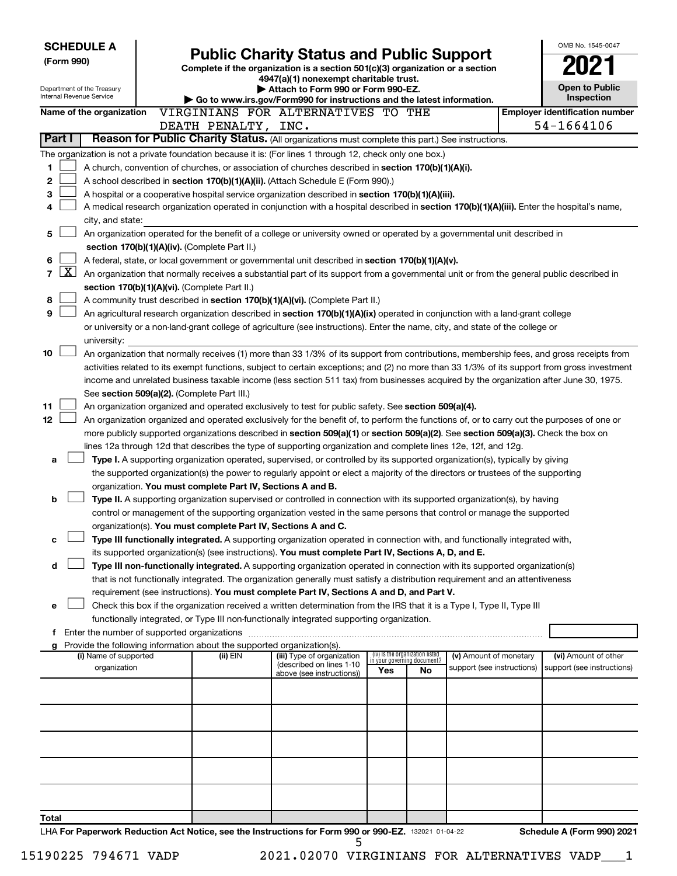| <b>SCHEDULE A</b>            |                                                                                                                                |  |                                                                          | <b>Public Charity Status and Public Support</b>                                                                                                                                                                                               |                             |                                 |                            |  | OMB No. 1545-0047                     |
|------------------------------|--------------------------------------------------------------------------------------------------------------------------------|--|--------------------------------------------------------------------------|-----------------------------------------------------------------------------------------------------------------------------------------------------------------------------------------------------------------------------------------------|-----------------------------|---------------------------------|----------------------------|--|---------------------------------------|
| (Form 990)                   |                                                                                                                                |  |                                                                          | Complete if the organization is a section 501(c)(3) organization or a section                                                                                                                                                                 |                             |                                 |                            |  |                                       |
| Department of the Treasury   |                                                                                                                                |  |                                                                          | 4947(a)(1) nonexempt charitable trust.<br>Attach to Form 990 or Form 990-EZ.                                                                                                                                                                  |                             |                                 |                            |  | <b>Open to Public</b>                 |
| Internal Revenue Service     |                                                                                                                                |  |                                                                          | Go to www.irs.gov/Form990 for instructions and the latest information.                                                                                                                                                                        |                             |                                 |                            |  | <b>Inspection</b>                     |
|                              | Name of the organization                                                                                                       |  |                                                                          | VIRGINIANS FOR ALTERNATIVES TO THE                                                                                                                                                                                                            |                             |                                 |                            |  | <b>Employer identification number</b> |
| Part I                       |                                                                                                                                |  | DEATH PENALTY, INC.                                                      | Reason for Public Charity Status. (All organizations must complete this part.) See instructions.                                                                                                                                              |                             |                                 |                            |  | 54-1664106                            |
|                              |                                                                                                                                |  |                                                                          | The organization is not a private foundation because it is: (For lines 1 through 12, check only one box.)                                                                                                                                     |                             |                                 |                            |  |                                       |
| 1                            |                                                                                                                                |  |                                                                          | A church, convention of churches, or association of churches described in section 170(b)(1)(A)(i).                                                                                                                                            |                             |                                 |                            |  |                                       |
| 2                            |                                                                                                                                |  |                                                                          | A school described in section 170(b)(1)(A)(ii). (Attach Schedule E (Form 990).)                                                                                                                                                               |                             |                                 |                            |  |                                       |
| 3                            |                                                                                                                                |  |                                                                          | A hospital or a cooperative hospital service organization described in section 170(b)(1)(A)(iii).                                                                                                                                             |                             |                                 |                            |  |                                       |
| 4                            |                                                                                                                                |  |                                                                          | A medical research organization operated in conjunction with a hospital described in section 170(b)(1)(A)(iii). Enter the hospital's name,                                                                                                    |                             |                                 |                            |  |                                       |
|                              | city, and state:                                                                                                               |  |                                                                          |                                                                                                                                                                                                                                               |                             |                                 |                            |  |                                       |
|                              | An organization operated for the benefit of a college or university owned or operated by a governmental unit described in<br>5 |  |                                                                          |                                                                                                                                                                                                                                               |                             |                                 |                            |  |                                       |
| 6                            |                                                                                                                                |  | section 170(b)(1)(A)(iv). (Complete Part II.)                            |                                                                                                                                                                                                                                               |                             |                                 |                            |  |                                       |
| $\overline{\mathbf{X}}$<br>7 |                                                                                                                                |  |                                                                          | A federal, state, or local government or governmental unit described in section 170(b)(1)(A)(v).<br>An organization that normally receives a substantial part of its support from a governmental unit or from the general public described in |                             |                                 |                            |  |                                       |
|                              |                                                                                                                                |  | section 170(b)(1)(A)(vi). (Complete Part II.)                            |                                                                                                                                                                                                                                               |                             |                                 |                            |  |                                       |
| 8                            |                                                                                                                                |  |                                                                          | A community trust described in section 170(b)(1)(A)(vi). (Complete Part II.)                                                                                                                                                                  |                             |                                 |                            |  |                                       |
| 9                            |                                                                                                                                |  |                                                                          | An agricultural research organization described in section 170(b)(1)(A)(ix) operated in conjunction with a land-grant college                                                                                                                 |                             |                                 |                            |  |                                       |
|                              |                                                                                                                                |  |                                                                          | or university or a non-land-grant college of agriculture (see instructions). Enter the name, city, and state of the college or                                                                                                                |                             |                                 |                            |  |                                       |
|                              | university:                                                                                                                    |  |                                                                          |                                                                                                                                                                                                                                               |                             |                                 |                            |  |                                       |
| 10                           |                                                                                                                                |  |                                                                          | An organization that normally receives (1) more than 33 1/3% of its support from contributions, membership fees, and gross receipts from                                                                                                      |                             |                                 |                            |  |                                       |
|                              |                                                                                                                                |  |                                                                          | activities related to its exempt functions, subject to certain exceptions; and (2) no more than 33 1/3% of its support from gross investment                                                                                                  |                             |                                 |                            |  |                                       |
|                              |                                                                                                                                |  | See section 509(a)(2). (Complete Part III.)                              | income and unrelated business taxable income (less section 511 tax) from businesses acquired by the organization after June 30, 1975.                                                                                                         |                             |                                 |                            |  |                                       |
| 11                           |                                                                                                                                |  |                                                                          | An organization organized and operated exclusively to test for public safety. See section 509(a)(4).                                                                                                                                          |                             |                                 |                            |  |                                       |
| 12                           |                                                                                                                                |  |                                                                          | An organization organized and operated exclusively for the benefit of, to perform the functions of, or to carry out the purposes of one or                                                                                                    |                             |                                 |                            |  |                                       |
|                              |                                                                                                                                |  |                                                                          | more publicly supported organizations described in section 509(a)(1) or section 509(a)(2). See section 509(a)(3). Check the box on                                                                                                            |                             |                                 |                            |  |                                       |
|                              |                                                                                                                                |  |                                                                          | lines 12a through 12d that describes the type of supporting organization and complete lines 12e, 12f, and 12g.                                                                                                                                |                             |                                 |                            |  |                                       |
| а                            |                                                                                                                                |  |                                                                          | Type I. A supporting organization operated, supervised, or controlled by its supported organization(s), typically by giving                                                                                                                   |                             |                                 |                            |  |                                       |
|                              |                                                                                                                                |  |                                                                          | the supported organization(s) the power to regularly appoint or elect a majority of the directors or trustees of the supporting                                                                                                               |                             |                                 |                            |  |                                       |
| b                            |                                                                                                                                |  | organization. You must complete Part IV, Sections A and B.               | Type II. A supporting organization supervised or controlled in connection with its supported organization(s), by having                                                                                                                       |                             |                                 |                            |  |                                       |
|                              |                                                                                                                                |  |                                                                          | control or management of the supporting organization vested in the same persons that control or manage the supported                                                                                                                          |                             |                                 |                            |  |                                       |
|                              |                                                                                                                                |  | organization(s). You must complete Part IV, Sections A and C.            |                                                                                                                                                                                                                                               |                             |                                 |                            |  |                                       |
| с                            |                                                                                                                                |  |                                                                          | Type III functionally integrated. A supporting organization operated in connection with, and functionally integrated with,                                                                                                                    |                             |                                 |                            |  |                                       |
|                              |                                                                                                                                |  |                                                                          | its supported organization(s) (see instructions). You must complete Part IV, Sections A, D, and E.                                                                                                                                            |                             |                                 |                            |  |                                       |
| d                            |                                                                                                                                |  |                                                                          | Type III non-functionally integrated. A supporting organization operated in connection with its supported organization(s)                                                                                                                     |                             |                                 |                            |  |                                       |
|                              |                                                                                                                                |  |                                                                          | that is not functionally integrated. The organization generally must satisfy a distribution requirement and an attentiveness                                                                                                                  |                             |                                 |                            |  |                                       |
|                              |                                                                                                                                |  |                                                                          | requirement (see instructions). You must complete Part IV, Sections A and D, and Part V.                                                                                                                                                      |                             |                                 |                            |  |                                       |
| е                            |                                                                                                                                |  |                                                                          | Check this box if the organization received a written determination from the IRS that it is a Type I, Type II, Type III                                                                                                                       |                             |                                 |                            |  |                                       |
| f.                           |                                                                                                                                |  | Enter the number of supported organizations                              | functionally integrated, or Type III non-functionally integrated supporting organization.                                                                                                                                                     |                             |                                 |                            |  |                                       |
|                              |                                                                                                                                |  | g Provide the following information about the supported organization(s). |                                                                                                                                                                                                                                               |                             |                                 |                            |  |                                       |
|                              | (i) Name of supported                                                                                                          |  | (ii) EIN                                                                 | (iii) Type of organization<br>(described on lines 1-10                                                                                                                                                                                        | in your governing document? | (iv) Is the organization listed | (v) Amount of monetary     |  | (vi) Amount of other                  |
|                              | organization                                                                                                                   |  |                                                                          | above (see instructions))                                                                                                                                                                                                                     | Yes                         | No                              | support (see instructions) |  | support (see instructions)            |
|                              |                                                                                                                                |  |                                                                          |                                                                                                                                                                                                                                               |                             |                                 |                            |  |                                       |
|                              |                                                                                                                                |  |                                                                          |                                                                                                                                                                                                                                               |                             |                                 |                            |  |                                       |
|                              |                                                                                                                                |  |                                                                          |                                                                                                                                                                                                                                               |                             |                                 |                            |  |                                       |
|                              |                                                                                                                                |  |                                                                          |                                                                                                                                                                                                                                               |                             |                                 |                            |  |                                       |
|                              |                                                                                                                                |  |                                                                          |                                                                                                                                                                                                                                               |                             |                                 |                            |  |                                       |
|                              |                                                                                                                                |  |                                                                          |                                                                                                                                                                                                                                               |                             |                                 |                            |  |                                       |
|                              |                                                                                                                                |  |                                                                          |                                                                                                                                                                                                                                               |                             |                                 |                            |  |                                       |
|                              |                                                                                                                                |  |                                                                          |                                                                                                                                                                                                                                               |                             |                                 |                            |  |                                       |
|                              |                                                                                                                                |  |                                                                          |                                                                                                                                                                                                                                               |                             |                                 |                            |  |                                       |
| Total                        |                                                                                                                                |  |                                                                          |                                                                                                                                                                                                                                               |                             |                                 |                            |  |                                       |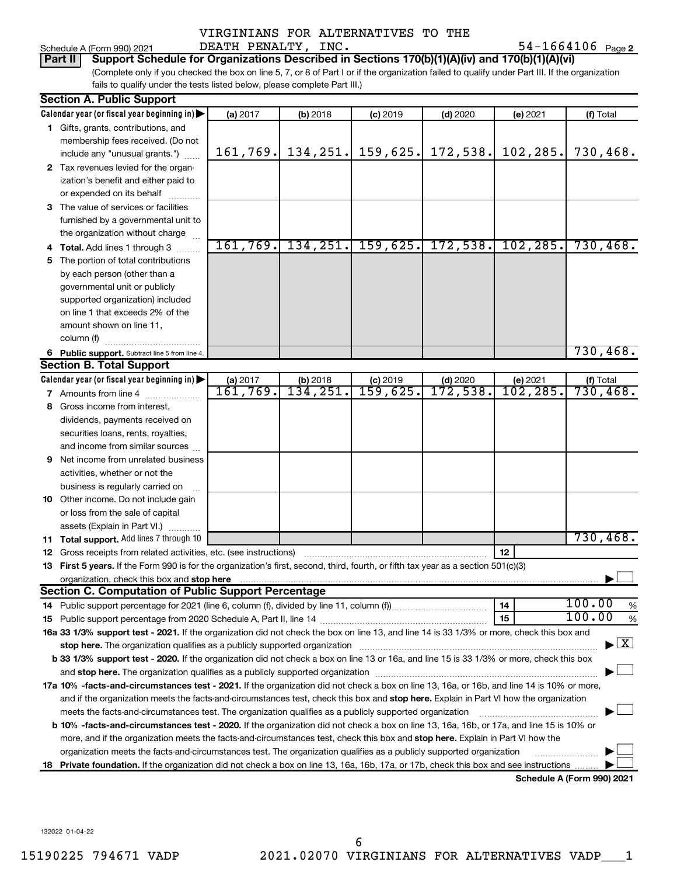### Schedule A (Form 990) 2021 DEATH PENALTY , INC **.** 54-1664106 <sub>Page</sub> *VIRGINIANS FOR ALTERNATIVES TO THE*

54-1664106 Page 2

(Complete only if you checked the box on line 5, 7, or 8 of Part I or if the organization failed to qualify under Part III. If the organization fails to qualify under the tests listed below, please complete Part III.) **Part II** | Support Schedule for Organizations Described in Sections 170(b)(1)(A)(iv) and 170(b)(1)(A)(vi)

| <b>Section A. Public Support</b>                                                                                                                                                                                                                                                             |           |           |            |            |                         |                                    |
|----------------------------------------------------------------------------------------------------------------------------------------------------------------------------------------------------------------------------------------------------------------------------------------------|-----------|-----------|------------|------------|-------------------------|------------------------------------|
| Calendar year (or fiscal year beginning in)                                                                                                                                                                                                                                                  | (a) 2017  | (b) 2018  | $(c)$ 2019 | $(d)$ 2020 | (e) 2021                | (f) Total                          |
| 1 Gifts, grants, contributions, and                                                                                                                                                                                                                                                          |           |           |            |            |                         |                                    |
| membership fees received. (Do not                                                                                                                                                                                                                                                            |           |           |            |            |                         |                                    |
| include any "unusual grants.")                                                                                                                                                                                                                                                               | 161, 769. | 134, 251. | 159,625.   | 172, 538.  | 102,285.                | 730,468.                           |
| 2 Tax revenues levied for the organ-                                                                                                                                                                                                                                                         |           |           |            |            |                         |                                    |
| ization's benefit and either paid to                                                                                                                                                                                                                                                         |           |           |            |            |                         |                                    |
| or expended on its behalf                                                                                                                                                                                                                                                                    |           |           |            |            |                         |                                    |
| 3 The value of services or facilities                                                                                                                                                                                                                                                        |           |           |            |            |                         |                                    |
| furnished by a governmental unit to                                                                                                                                                                                                                                                          |           |           |            |            |                         |                                    |
| the organization without charge                                                                                                                                                                                                                                                              |           |           |            |            |                         |                                    |
| 4 Total. Add lines 1 through 3                                                                                                                                                                                                                                                               | 161,769.  | 134, 251. | 159,625.   | 172,538.   | 102, 285.               | 730,468.                           |
| 5 The portion of total contributions                                                                                                                                                                                                                                                         |           |           |            |            |                         |                                    |
| by each person (other than a                                                                                                                                                                                                                                                                 |           |           |            |            |                         |                                    |
| governmental unit or publicly                                                                                                                                                                                                                                                                |           |           |            |            |                         |                                    |
| supported organization) included                                                                                                                                                                                                                                                             |           |           |            |            |                         |                                    |
| on line 1 that exceeds 2% of the                                                                                                                                                                                                                                                             |           |           |            |            |                         |                                    |
| amount shown on line 11,                                                                                                                                                                                                                                                                     |           |           |            |            |                         |                                    |
| column (f)                                                                                                                                                                                                                                                                                   |           |           |            |            |                         |                                    |
| 6 Public support. Subtract line 5 from line 4.                                                                                                                                                                                                                                               |           |           |            |            |                         | 730,468.                           |
| <b>Section B. Total Support</b>                                                                                                                                                                                                                                                              |           |           |            |            |                         |                                    |
| Calendar year (or fiscal year beginning in)                                                                                                                                                                                                                                                  | (a) 2017  | (b) 2018  | $(c)$ 2019 | $(d)$ 2020 | (e) 2021                | (f) Total                          |
| <b>7</b> Amounts from line 4                                                                                                                                                                                                                                                                 | 161,769.  | 134,251.  | 159,625.   | 172,538.   | $\overline{102}$ , 285. | 730,468.                           |
| 8 Gross income from interest,                                                                                                                                                                                                                                                                |           |           |            |            |                         |                                    |
| dividends, payments received on                                                                                                                                                                                                                                                              |           |           |            |            |                         |                                    |
| securities loans, rents, royalties,                                                                                                                                                                                                                                                          |           |           |            |            |                         |                                    |
| and income from similar sources                                                                                                                                                                                                                                                              |           |           |            |            |                         |                                    |
| 9 Net income from unrelated business                                                                                                                                                                                                                                                         |           |           |            |            |                         |                                    |
| activities, whether or not the                                                                                                                                                                                                                                                               |           |           |            |            |                         |                                    |
| business is regularly carried on                                                                                                                                                                                                                                                             |           |           |            |            |                         |                                    |
| 10 Other income. Do not include gain                                                                                                                                                                                                                                                         |           |           |            |            |                         |                                    |
| or loss from the sale of capital                                                                                                                                                                                                                                                             |           |           |            |            |                         |                                    |
| assets (Explain in Part VI.)                                                                                                                                                                                                                                                                 |           |           |            |            |                         | 730,468.                           |
| 11 Total support. Add lines 7 through 10                                                                                                                                                                                                                                                     |           |           |            |            |                         |                                    |
| <b>12</b> Gross receipts from related activities, etc. (see instructions)                                                                                                                                                                                                                    |           |           |            |            | 12                      |                                    |
| 13 First 5 years. If the Form 990 is for the organization's first, second, third, fourth, or fifth tax year as a section 501(c)(3)                                                                                                                                                           |           |           |            |            |                         |                                    |
| organization, check this box and stop here manufactured and state and state and state and state and state and stop here are accommodated and state and state and state and state and state and state and state and state and s<br><b>Section C. Computation of Public Support Percentage</b> |           |           |            |            |                         |                                    |
|                                                                                                                                                                                                                                                                                              |           |           |            |            | 14                      | 100.00<br>%                        |
|                                                                                                                                                                                                                                                                                              |           |           |            |            | 15                      | 100.00<br>%                        |
| 16a 33 1/3% support test - 2021. If the organization did not check the box on line 13, and line 14 is 33 1/3% or more, check this box and                                                                                                                                                    |           |           |            |            |                         |                                    |
| stop here. The organization qualifies as a publicly supported organization manufaction manufacture content and the supported or an annufacture manufacture content and the supported or state in the state of the state of the                                                               |           |           |            |            |                         | $\blacktriangleright$ $\mathbf{X}$ |
| b 33 1/3% support test - 2020. If the organization did not check a box on line 13 or 16a, and line 15 is 33 1/3% or more, check this box                                                                                                                                                     |           |           |            |            |                         |                                    |
|                                                                                                                                                                                                                                                                                              |           |           |            |            |                         |                                    |
| 17a 10% -facts-and-circumstances test - 2021. If the organization did not check a box on line 13, 16a, or 16b, and line 14 is 10% or more,                                                                                                                                                   |           |           |            |            |                         |                                    |
| and if the organization meets the facts-and-circumstances test, check this box and stop here. Explain in Part VI how the organization                                                                                                                                                        |           |           |            |            |                         |                                    |
| meets the facts-and-circumstances test. The organization qualifies as a publicly supported organization                                                                                                                                                                                      |           |           |            |            |                         |                                    |
| <b>b 10%</b> -facts-and-circumstances test - 2020. If the organization did not check a box on line 13, 16a, 16b, or 17a, and line 15 is 10% or                                                                                                                                               |           |           |            |            |                         |                                    |
| more, and if the organization meets the facts-and-circumstances test, check this box and stop here. Explain in Part VI how the                                                                                                                                                               |           |           |            |            |                         |                                    |
| organization meets the facts-and-circumstances test. The organization qualifies as a publicly supported organization                                                                                                                                                                         |           |           |            |            |                         |                                    |
| 18 Private foundation. If the organization did not check a box on line 13, 16a, 16b, 17a, or 17b, check this box and see instructions.                                                                                                                                                       |           |           |            |            |                         |                                    |
|                                                                                                                                                                                                                                                                                              |           |           |            |            |                         | Schedule A (Form 990) 2021         |

132022 01-04-22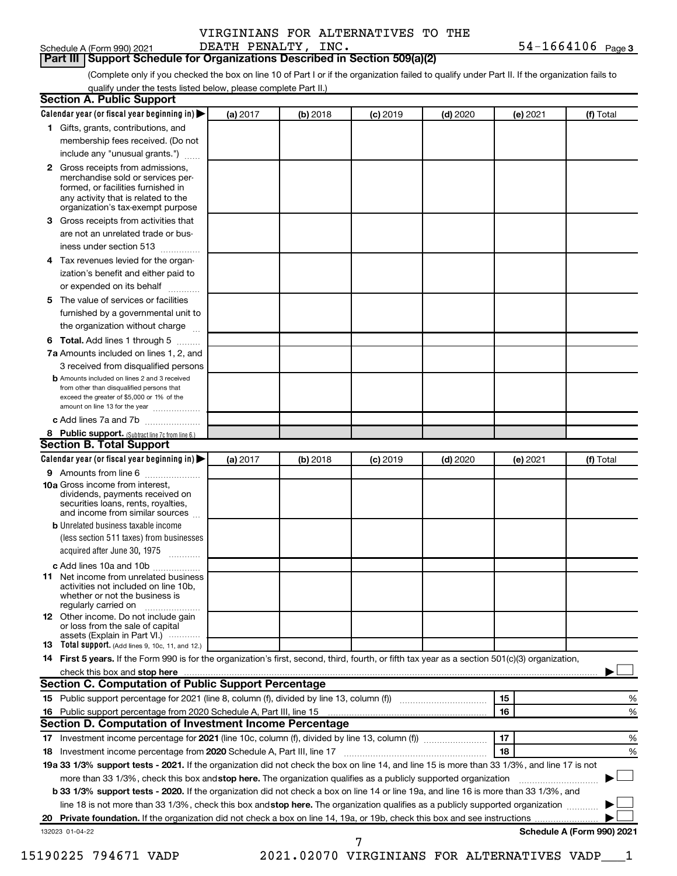|  |  | VIRGINIANS FOR ALTERNATIVES TO THE |  |  |
|--|--|------------------------------------|--|--|
|--|--|------------------------------------|--|--|

# **Part III | Support Schedule for Organizations Described in Section 509(a)(2) Part III | Support Schedule for Organizations Described in Section 509(a)(2)**

54-1664106 Page 3 Schedule A (Form 990) 2021 DEATH PENALTY , INC **.** 54-1664106 <sub>Page</sub>

(Complete only if you checked the box on line 10 of Part I or if the organization failed to qualify under Part II. If the organization fails to qualify under the tests listed below, please complete Part II.)

| <b>Section A. Public Support</b>                                                                                                                                                         |          |          |                 |            |          |                            |
|------------------------------------------------------------------------------------------------------------------------------------------------------------------------------------------|----------|----------|-----------------|------------|----------|----------------------------|
| Calendar year (or fiscal year beginning in)                                                                                                                                              | (a) 2017 | (b) 2018 | (c) 2019        | $(d)$ 2020 | (e) 2021 | (f) Total                  |
| 1 Gifts, grants, contributions, and                                                                                                                                                      |          |          |                 |            |          |                            |
| membership fees received. (Do not                                                                                                                                                        |          |          |                 |            |          |                            |
| include any "unusual grants.")                                                                                                                                                           |          |          |                 |            |          |                            |
| 2 Gross receipts from admissions,<br>merchandise sold or services per-<br>formed, or facilities furnished in<br>any activity that is related to the<br>organization's tax-exempt purpose |          |          |                 |            |          |                            |
| 3 Gross receipts from activities that                                                                                                                                                    |          |          |                 |            |          |                            |
| are not an unrelated trade or bus-                                                                                                                                                       |          |          |                 |            |          |                            |
| iness under section 513                                                                                                                                                                  |          |          |                 |            |          |                            |
| 4 Tax revenues levied for the organ-                                                                                                                                                     |          |          |                 |            |          |                            |
| ization's benefit and either paid to                                                                                                                                                     |          |          |                 |            |          |                            |
| or expended on its behalf                                                                                                                                                                |          |          |                 |            |          |                            |
| 5 The value of services or facilities                                                                                                                                                    |          |          |                 |            |          |                            |
| furnished by a governmental unit to                                                                                                                                                      |          |          |                 |            |          |                            |
| the organization without charge                                                                                                                                                          |          |          |                 |            |          |                            |
| 6 Total. Add lines 1 through 5                                                                                                                                                           |          |          |                 |            |          |                            |
| 7a Amounts included on lines 1, 2, and                                                                                                                                                   |          |          |                 |            |          |                            |
| 3 received from disqualified persons                                                                                                                                                     |          |          |                 |            |          |                            |
| <b>b</b> Amounts included on lines 2 and 3 received<br>from other than disqualified persons that<br>exceed the greater of \$5,000 or 1% of the<br>amount on line 13 for the year         |          |          |                 |            |          |                            |
| c Add lines 7a and 7b                                                                                                                                                                    |          |          |                 |            |          |                            |
| 8 Public support. (Subtract line 7c from line 6.)                                                                                                                                        |          |          |                 |            |          |                            |
| <b>Section B. Total Support</b>                                                                                                                                                          |          |          |                 |            |          |                            |
| Calendar year (or fiscal year beginning in) $\blacktriangleright$                                                                                                                        | (a) 2017 | (b) 2018 | <b>(c)</b> 2019 | $(d)$ 2020 | (e) 2021 | (f) Total                  |
| 9 Amounts from line 6                                                                                                                                                                    |          |          |                 |            |          |                            |
| <b>10a</b> Gross income from interest,<br>dividends, payments received on<br>securities loans, rents, royalties,<br>and income from similar sources                                      |          |          |                 |            |          |                            |
| <b>b</b> Unrelated business taxable income<br>(less section 511 taxes) from businesses<br>acquired after June 30, 1975                                                                   |          |          |                 |            |          |                            |
| c Add lines 10a and 10b                                                                                                                                                                  |          |          |                 |            |          |                            |
| <b>11</b> Net income from unrelated business<br>activities not included on line 10b,<br>whether or not the business is<br>regularly carried on                                           |          |          |                 |            |          |                            |
| 12 Other income. Do not include gain<br>or loss from the sale of capital<br>assets (Explain in Part VI.)                                                                                 |          |          |                 |            |          |                            |
| <b>13</b> Total support. (Add lines 9, 10c, 11, and 12.)                                                                                                                                 |          |          |                 |            |          |                            |
| 14 First 5 years. If the Form 990 is for the organization's first, second, third, fourth, or fifth tax year as a section 501(c)(3) organization,                                         |          |          |                 |            |          |                            |
|                                                                                                                                                                                          |          |          |                 |            |          |                            |
| Section C. Computation of Public Support Percentage                                                                                                                                      |          |          |                 |            |          |                            |
| 15 Public support percentage for 2021 (line 8, column (f), divided by line 13, column (f) <i></i>                                                                                        |          |          |                 |            | 15       | ℅                          |
| 16 Public support percentage from 2020 Schedule A, Part III, line 15                                                                                                                     |          |          |                 |            | 16       | %                          |
| Section D. Computation of Investment Income Percentage                                                                                                                                   |          |          |                 |            |          |                            |
|                                                                                                                                                                                          |          |          |                 |            | 17       | %                          |
| 18 Investment income percentage from 2020 Schedule A, Part III, line 17                                                                                                                  |          |          |                 |            | 18       | %                          |
| 19a 33 1/3% support tests - 2021. If the organization did not check the box on line 14, and line 15 is more than 33 1/3%, and line 17 is not                                             |          |          |                 |            |          |                            |
| more than 33 1/3%, check this box and stop here. The organization qualifies as a publicly supported organization                                                                         |          |          |                 |            |          |                            |
| <b>b 33 1/3% support tests - 2020.</b> If the organization did not check a box on line 14 or line 19a, and line 16 is more than 33 1/3%, and                                             |          |          |                 |            |          |                            |
| line 18 is not more than 33 1/3%, check this box and stop here. The organization qualifies as a publicly supported organization                                                          |          |          |                 |            |          |                            |
|                                                                                                                                                                                          |          |          |                 |            |          |                            |
| 132023 01-04-22                                                                                                                                                                          |          |          |                 |            |          | Schedule A (Form 990) 2021 |
|                                                                                                                                                                                          |          |          | 7               |            |          |                            |

*15190225 794671 VADP 2021.02070 VIRGINIANS FOR ALTERNATIVES VADP\_\_\_1*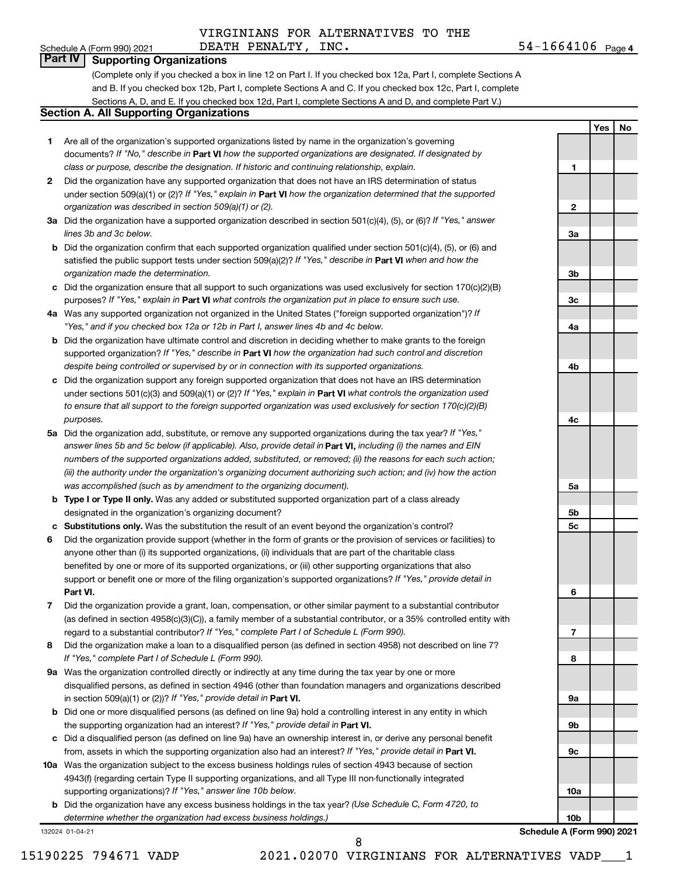## *VIRGINIANS FOR ALTERNATIVES TO THE*

**1**

**2**

**3a**

**3b**

**3c**

**4a**

**4b**

**4c**

**5a**

**5b 5c**

**6**

**7**

**8**

**9a**

**9b**

**9c**

**10a**

**Yes No**

# **Part IV Supporting Organizations**

(Complete only if you checked a box in line 12 on Part I. If you checked box 12a, Part I, complete Sections A and B. If you checked box 12b, Part I, complete Sections A and C. If you checked box 12c, Part I, complete Sections A, D, and E. If you checked box 12d, Part I, complete Sections A and D, and complete Part V.)

### **Section A. All Supporting Organizations**

- **1** Are all of the organization's supported organizations listed by name in the organization's governing documents? If "No," describe in Part VI how the supported organizations are designated. If designated by *class or purpose, describe the designation. If historic and continuing relationship, explain.*
- **2** Did the organization have any supported organization that does not have an IRS determination of status under section 509(a)(1) or (2)? If "Yes," explain in Part **VI** how the organization determined that the supported *organization was described in section 509(a)(1) or (2).*
- **3a** Did the organization have a supported organization described in section 501(c)(4), (5), or (6)? If "Yes," answer *lines 3b and 3c below.*
- **b** Did the organization confirm that each supported organization qualified under section 501(c)(4), (5), or (6) and satisfied the public support tests under section 509(a)(2)? If "Yes," describe in Part VI when and how the *organization made the determination.*
- **c** Did the organization ensure that all support to such organizations was used exclusively for section 170(c)(2)(B) purposes? If "Yes," explain in Part VI what controls the organization put in place to ensure such use.
- **4 a** *If* Was any supported organization not organized in the United States ("foreign supported organization")? *"Yes," and if you checked box 12a or 12b in Part I, answer lines 4b and 4c below.*
- **b** Did the organization have ultimate control and discretion in deciding whether to make grants to the foreign supported organization? If "Yes," describe in Part VI how the organization had such control and discretion *despite being controlled or supervised by or in connection with its supported organizations.*
- **c** Did the organization support any foreign supported organization that does not have an IRS determination under sections 501(c)(3) and 509(a)(1) or (2)? If "Yes," explain in Part VI what controls the organization used *to ensure that all support to the foreign supported organization was used exclusively for section 170(c)(2)(B) purposes.*
- **5a** Did the organization add, substitute, or remove any supported organizations during the tax year? If "Yes," answer lines 5b and 5c below (if applicable). Also, provide detail in **Part VI,** including (i) the names and EIN *numbers of the supported organizations added, substituted, or removed; (ii) the reasons for each such action; (iii) the authority under the organization's organizing document authorizing such action; and (iv) how the action was accomplished (such as by amendment to the organizing document).*
- **b Type I or Type II only.** Was any added or substituted supported organization part of a class already designated in the organization's organizing document?
- **c Substitutions only.**  Was the substitution the result of an event beyond the organization's control?
- **6** Did the organization provide support (whether in the form of grants or the provision of services or facilities) to **Part VI.** support or benefit one or more of the filing organization's supported organizations? If "Yes," provide detail in anyone other than (i) its supported organizations, (ii) individuals that are part of the charitable class benefited by one or more of its supported organizations, or (iii) other supporting organizations that also
- **7** Did the organization provide a grant, loan, compensation, or other similar payment to a substantial contributor regard to a substantial contributor? If "Yes," complete Part I of Schedule L (Form 990). (as defined in section 4958(c)(3)(C)), a family member of a substantial contributor, or a 35% controlled entity with
- **8** Did the organization make a loan to a disqualified person (as defined in section 4958) not described on line 7? *If "Yes," complete Part I of Schedule L (Form 990).*
- **9 a** Was the organization controlled directly or indirectly at any time during the tax year by one or more in section 509(a)(1) or (2))? If "Yes," provide detail in **Part VI.** disqualified persons, as defined in section 4946 (other than foundation managers and organizations described
- **b** Did one or more disqualified persons (as defined on line 9a) hold a controlling interest in any entity in which the supporting organization had an interest? If "Yes," provide detail in Part VI.
- **c** Did a disqualified person (as defined on line 9a) have an ownership interest in, or derive any personal benefit from, assets in which the supporting organization also had an interest? If "Yes," provide detail in Part VI.
- **10 a** Was the organization subject to the excess business holdings rules of section 4943 because of section supporting organizations)? If "Yes," answer line 10b below. 4943(f) (regarding certain Type II supporting organizations, and all Type III non-functionally integrated
	- **b** Did the organization have any excess business holdings in the tax year? (Use Schedule C, Form 4720, to *determine whether the organization had excess business holdings.)*

132024 01-04-21

**10b Schedule A (Form 990) 2021**

 *8*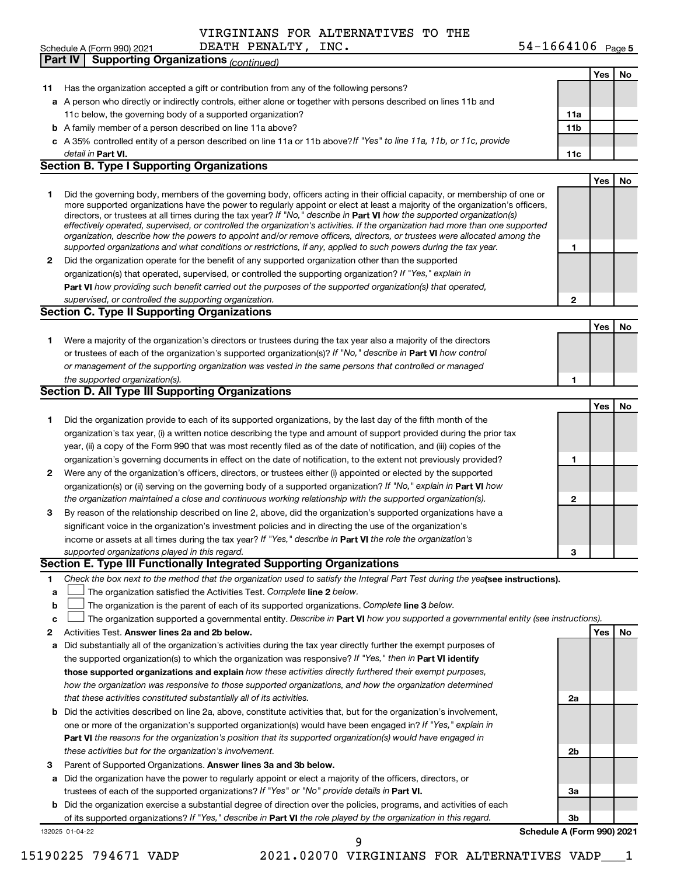### *VIRGINIANS FOR ALTERNATIVES TO THE* DEATH PENALTY, INC.

### 54-1664106 Page 5 Schedule A (Form 990) 2021 Page

|    | <b>Supporting Organizations (continued)</b><br>Part IV                                                                                                                                                                                                     |                 |     |    |
|----|------------------------------------------------------------------------------------------------------------------------------------------------------------------------------------------------------------------------------------------------------------|-----------------|-----|----|
|    |                                                                                                                                                                                                                                                            |                 | Yes | No |
| 11 | Has the organization accepted a gift or contribution from any of the following persons?                                                                                                                                                                    |                 |     |    |
|    | a A person who directly or indirectly controls, either alone or together with persons described on lines 11b and                                                                                                                                           |                 |     |    |
|    | 11c below, the governing body of a supported organization?                                                                                                                                                                                                 | 11a             |     |    |
|    | <b>b</b> A family member of a person described on line 11a above?                                                                                                                                                                                          | 11 <sub>b</sub> |     |    |
|    | c A 35% controlled entity of a person described on line 11a or 11b above?If "Yes" to line 11a, 11b, or 11c, provide                                                                                                                                        |                 |     |    |
|    | detail in Part VI.                                                                                                                                                                                                                                         | 11c             |     |    |
|    | <b>Section B. Type I Supporting Organizations</b>                                                                                                                                                                                                          |                 |     |    |
|    |                                                                                                                                                                                                                                                            |                 | Yes | No |
| 1  | Did the governing body, members of the governing body, officers acting in their official capacity, or membership of one or                                                                                                                                 |                 |     |    |
|    | more supported organizations have the power to regularly appoint or elect at least a majority of the organization's officers,                                                                                                                              |                 |     |    |
|    | directors, or trustees at all times during the tax year? If "No," describe in Part VI how the supported organization(s)                                                                                                                                    |                 |     |    |
|    | effectively operated, supervised, or controlled the organization's activities. If the organization had more than one supported<br>organization, describe how the powers to appoint and/or remove officers, directors, or trustees were allocated among the |                 |     |    |
|    | supported organizations and what conditions or restrictions, if any, applied to such powers during the tax year.                                                                                                                                           | 1               |     |    |
| 2  | Did the organization operate for the benefit of any supported organization other than the supported                                                                                                                                                        |                 |     |    |
|    | organization(s) that operated, supervised, or controlled the supporting organization? If "Yes," explain in                                                                                                                                                 |                 |     |    |
|    | Part VI how providing such benefit carried out the purposes of the supported organization(s) that operated,                                                                                                                                                |                 |     |    |
|    | supervised, or controlled the supporting organization.                                                                                                                                                                                                     | $\overline{2}$  |     |    |
|    | <b>Section C. Type II Supporting Organizations</b>                                                                                                                                                                                                         |                 |     |    |
|    |                                                                                                                                                                                                                                                            |                 | Yes | No |
| 1  | Were a majority of the organization's directors or trustees during the tax year also a majority of the directors                                                                                                                                           |                 |     |    |
|    | or trustees of each of the organization's supported organization(s)? If "No," describe in Part VI how control                                                                                                                                              |                 |     |    |
|    | or management of the supporting organization was vested in the same persons that controlled or managed                                                                                                                                                     |                 |     |    |
|    | the supported organization(s).                                                                                                                                                                                                                             | 1               |     |    |
|    | Section D. All Type III Supporting Organizations                                                                                                                                                                                                           |                 |     |    |
|    |                                                                                                                                                                                                                                                            |                 | Yes | No |
| 1  | Did the organization provide to each of its supported organizations, by the last day of the fifth month of the                                                                                                                                             |                 |     |    |
|    | organization's tax year, (i) a written notice describing the type and amount of support provided during the prior tax                                                                                                                                      |                 |     |    |
|    | year, (ii) a copy of the Form 990 that was most recently filed as of the date of notification, and (iii) copies of the                                                                                                                                     |                 |     |    |
|    | organization's governing documents in effect on the date of notification, to the extent not previously provided?                                                                                                                                           | 1               |     |    |
| 2  | Were any of the organization's officers, directors, or trustees either (i) appointed or elected by the supported                                                                                                                                           |                 |     |    |
|    | organization(s) or (ii) serving on the governing body of a supported organization? If "No," explain in Part VI how                                                                                                                                         |                 |     |    |
|    | the organization maintained a close and continuous working relationship with the supported organization(s).                                                                                                                                                | 2               |     |    |
| 3  | By reason of the relationship described on line 2, above, did the organization's supported organizations have a                                                                                                                                            |                 |     |    |
|    | significant voice in the organization's investment policies and in directing the use of the organization's                                                                                                                                                 |                 |     |    |
|    | income or assets at all times during the tax year? If "Yes," describe in Part VI the role the organization's                                                                                                                                               |                 |     |    |
|    | supported organizations played in this regard.                                                                                                                                                                                                             | з               |     |    |
|    | Section E. Type III Functionally Integrated Supporting Organizations                                                                                                                                                                                       |                 |     |    |
| 1  | Check the box next to the method that the organization used to satisfy the Integral Part Test during the yealsee instructions).                                                                                                                            |                 |     |    |
| a  | The organization satisfied the Activities Test. Complete line 2 below.                                                                                                                                                                                     |                 |     |    |
| b  | The organization is the parent of each of its supported organizations. Complete line 3 below.                                                                                                                                                              |                 |     |    |
| c  | The organization supported a governmental entity. Describe in Part VI how you supported a governmental entity (see instructions).                                                                                                                          |                 |     |    |
| 2  | Activities Test. Answer lines 2a and 2b below.                                                                                                                                                                                                             |                 | Yes | No |
| а  | Did substantially all of the organization's activities during the tax year directly further the exempt purposes of                                                                                                                                         |                 |     |    |
|    | the supported organization(s) to which the organization was responsive? If "Yes," then in Part VI identify                                                                                                                                                 |                 |     |    |
|    | those supported organizations and explain how these activities directly furthered their exempt purposes,                                                                                                                                                   |                 |     |    |
|    | how the organization was responsive to those supported organizations, and how the organization determined                                                                                                                                                  |                 |     |    |
|    | that these activities constituted substantially all of its activities.                                                                                                                                                                                     | 2a              |     |    |
| b  | Did the activities described on line 2a, above, constitute activities that, but for the organization's involvement,                                                                                                                                        |                 |     |    |
|    | one or more of the organization's supported organization(s) would have been engaged in? If "Yes," explain in                                                                                                                                               |                 |     |    |
|    | <b>Part VI</b> the reasons for the organization's position that its supported organization(s) would have engaged in                                                                                                                                        |                 |     |    |
|    | these activities but for the organization's involvement.                                                                                                                                                                                                   | 2b              |     |    |
| з  | Parent of Supported Organizations. Answer lines 3a and 3b below.                                                                                                                                                                                           |                 |     |    |
| а  | Did the organization have the power to regularly appoint or elect a majority of the officers, directors, or                                                                                                                                                |                 |     |    |
|    | trustees of each of the supported organizations? If "Yes" or "No" provide details in Part VI.                                                                                                                                                              | За              |     |    |
|    | <b>b</b> Did the organization exercise a substantial degree of direction over the policies, programs, and activities of each                                                                                                                               |                 |     |    |
|    | of its supported organizations? If "Yes," describe in Part VI the role played by the organization in this regard.                                                                                                                                          | 3b              |     |    |
|    | Schedule A (Form 990) 2021<br>132025 01-04-22                                                                                                                                                                                                              |                 |     |    |
|    | 9                                                                                                                                                                                                                                                          |                 |     |    |

*15190225 794671 VADP 2021.02070 VIRGINIANS FOR ALTERNATIVES VADP\_\_\_1*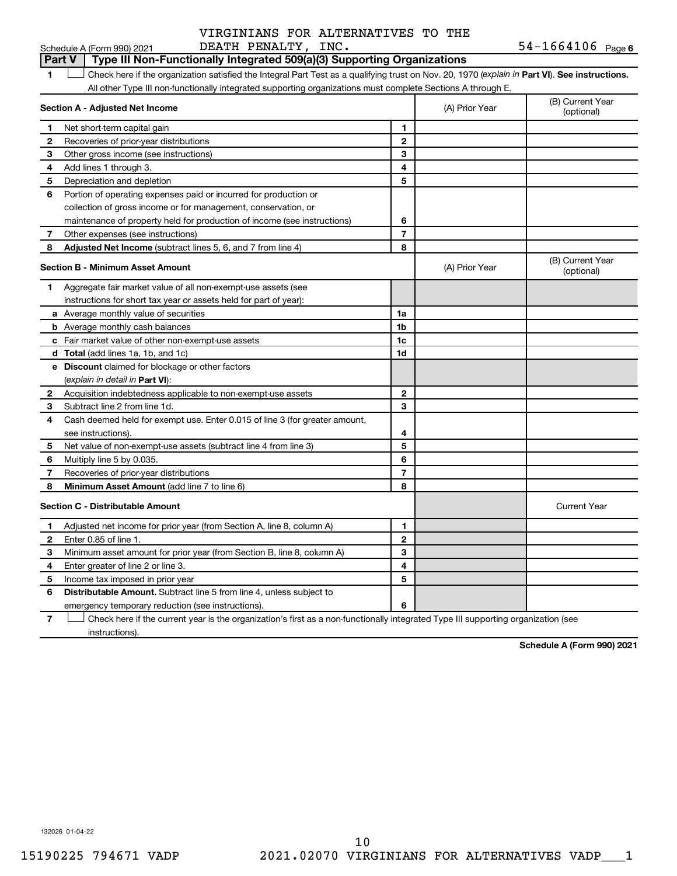### Schedule A (Form 990) 2021 DEATH PENALTY , INC **.** 54-1664106 <sub>Page</sub> *VIRGINIANS FOR ALTERNATIVES TO THE*

|              | Part V   Type III Non-Functionally Integrated 509(a)(3) Supporting Organizations                                                               |                |                |                                |
|--------------|------------------------------------------------------------------------------------------------------------------------------------------------|----------------|----------------|--------------------------------|
| 1.           | Check here if the organization satisfied the Integral Part Test as a qualifying trust on Nov. 20, 1970 (explain in Part VI). See instructions. |                |                |                                |
|              | All other Type III non-functionally integrated supporting organizations must complete Sections A through E.                                    |                |                |                                |
|              | Section A - Adjusted Net Income                                                                                                                |                | (A) Prior Year | (B) Current Year<br>(optional) |
| 1            | Net short-term capital gain                                                                                                                    | 1              |                |                                |
| 2            | Recoveries of prior-year distributions                                                                                                         | $\mathbf 2$    |                |                                |
| З            | Other gross income (see instructions)                                                                                                          | 3              |                |                                |
| 4            | Add lines 1 through 3.                                                                                                                         | 4              |                |                                |
| 5            | Depreciation and depletion                                                                                                                     | 5              |                |                                |
| 6            | Portion of operating expenses paid or incurred for production or                                                                               |                |                |                                |
|              | collection of gross income or for management, conservation, or                                                                                 |                |                |                                |
|              | maintenance of property held for production of income (see instructions)                                                                       | 6              |                |                                |
| 7            | Other expenses (see instructions)                                                                                                              | 7              |                |                                |
| 8            | Adjusted Net Income (subtract lines 5, 6, and 7 from line 4)                                                                                   | 8              |                |                                |
|              | <b>Section B - Minimum Asset Amount</b>                                                                                                        |                | (A) Prior Year | (B) Current Year<br>(optional) |
| 1            | Aggregate fair market value of all non-exempt-use assets (see                                                                                  |                |                |                                |
|              | instructions for short tax year or assets held for part of year):                                                                              |                |                |                                |
|              | <b>a</b> Average monthly value of securities                                                                                                   | 1a             |                |                                |
|              | <b>b</b> Average monthly cash balances                                                                                                         | 1b             |                |                                |
|              | <b>c</b> Fair market value of other non-exempt-use assets                                                                                      | 1c             |                |                                |
|              | <b>d</b> Total (add lines 1a, 1b, and 1c)                                                                                                      | 1d             |                |                                |
|              | <b>e</b> Discount claimed for blockage or other factors                                                                                        |                |                |                                |
|              | (explain in detail in <b>Part VI</b> ):                                                                                                        |                |                |                                |
| 2            | Acquisition indebtedness applicable to non-exempt-use assets                                                                                   | 2              |                |                                |
| З            | Subtract line 2 from line 1d.                                                                                                                  | 3              |                |                                |
| 4            | Cash deemed held for exempt use. Enter 0.015 of line 3 (for greater amount,                                                                    |                |                |                                |
|              | see instructions).                                                                                                                             | 4              |                |                                |
| 5            | Net value of non-exempt-use assets (subtract line 4 from line 3)                                                                               | 5              |                |                                |
| 6            | Multiply line 5 by 0.035.                                                                                                                      | 6              |                |                                |
| 7            | Recoveries of prior-year distributions                                                                                                         | $\overline{7}$ |                |                                |
| 8            | Minimum Asset Amount (add line 7 to line 6)                                                                                                    | 8              |                |                                |
|              | <b>Section C - Distributable Amount</b>                                                                                                        |                |                | <b>Current Year</b>            |
| 1            | Adjusted net income for prior year (from Section A, line 8, column A)                                                                          | $\mathbf{1}$   |                |                                |
| $\mathbf{2}$ | Enter 0.85 of line 1.                                                                                                                          | $\overline{2}$ |                |                                |
| 3            | Minimum asset amount for prior year (from Section B, line 8, column A)                                                                         | 3              |                |                                |
| 4            | Enter greater of line 2 or line 3.                                                                                                             | 4              |                |                                |
| 5            | Income tax imposed in prior year                                                                                                               | 5              |                |                                |
| 6            | <b>Distributable Amount.</b> Subtract line 5 from line 4, unless subject to                                                                    |                |                |                                |
|              | emergency temporary reduction (see instructions).                                                                                              | 6              |                |                                |
| 7            | Check here if the current year is the organization's first as a non-functionally integrated Type III supporting organization (see              |                |                |                                |

instructions).

**Schedule A (Form 990) 2021**

132026 01-04-22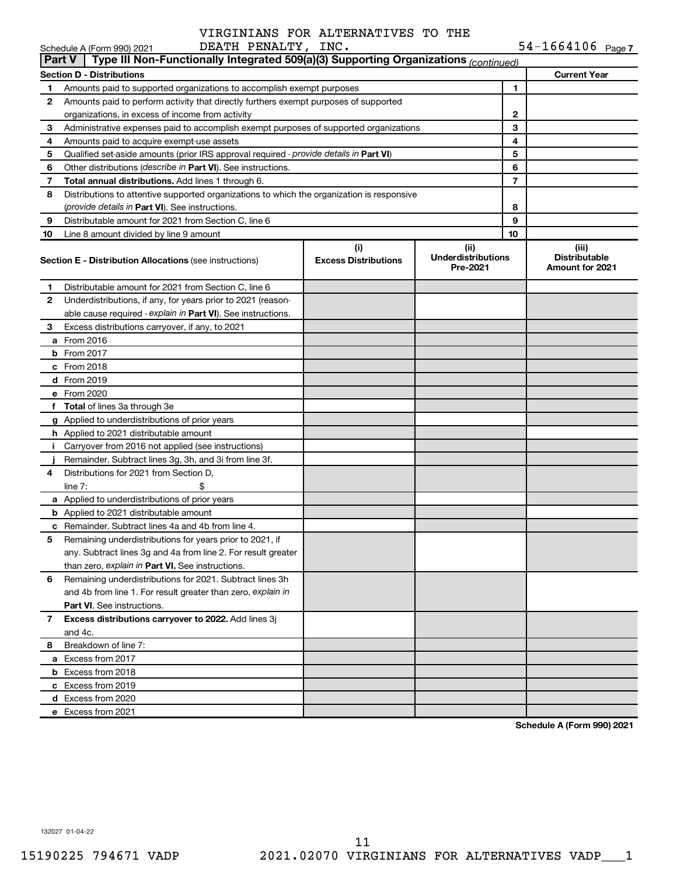## *VIRGINIANS FOR ALTERNATIVES TO THE*

|               | DEATH PENALTY, INC.<br>Schedule A (Form 990) 2021                                          |                                    |                                               | $54 - 1664106$ Page 7                            |
|---------------|--------------------------------------------------------------------------------------------|------------------------------------|-----------------------------------------------|--------------------------------------------------|
| <b>Part V</b> | Type III Non-Functionally Integrated 509(a)(3) Supporting Organizations (continued)        |                                    |                                               |                                                  |
|               | <b>Section D - Distributions</b>                                                           |                                    |                                               | <b>Current Year</b>                              |
| 1.            | Amounts paid to supported organizations to accomplish exempt purposes                      |                                    | 1                                             |                                                  |
| 2             | Amounts paid to perform activity that directly furthers exempt purposes of supported       |                                    |                                               |                                                  |
|               | organizations, in excess of income from activity                                           |                                    |                                               |                                                  |
| 3             | Administrative expenses paid to accomplish exempt purposes of supported organizations      |                                    | 3                                             |                                                  |
| 4             | Amounts paid to acquire exempt-use assets                                                  |                                    | 4                                             |                                                  |
| 5             | Qualified set-aside amounts (prior IRS approval required - provide details in Part VI)     |                                    | 5                                             |                                                  |
| 6             | Other distributions ( <i>describe in Part VI</i> ). See instructions.                      |                                    | 6                                             |                                                  |
| 7             | <b>Total annual distributions.</b> Add lines 1 through 6.                                  |                                    | $\overline{7}$                                |                                                  |
| 8             | Distributions to attentive supported organizations to which the organization is responsive |                                    |                                               |                                                  |
|               | ( <i>provide details in Part VI</i> ). See instructions.                                   |                                    | 8                                             |                                                  |
| 9             | Distributable amount for 2021 from Section C, line 6                                       |                                    | 9                                             |                                                  |
| 10            | Line 8 amount divided by line 9 amount                                                     |                                    | 10                                            |                                                  |
|               | <b>Section E - Distribution Allocations (see instructions)</b>                             | (i)<br><b>Excess Distributions</b> | (ii)<br><b>Underdistributions</b><br>Pre-2021 | (iii)<br><b>Distributable</b><br>Amount for 2021 |
| 1.            | Distributable amount for 2021 from Section C, line 6                                       |                                    |                                               |                                                  |
| 2             | Underdistributions, if any, for years prior to 2021 (reason-                               |                                    |                                               |                                                  |
|               | able cause required - explain in Part VI). See instructions.                               |                                    |                                               |                                                  |
| 3             | Excess distributions carryover, if any, to 2021                                            |                                    |                                               |                                                  |
|               | <b>a</b> From 2016                                                                         |                                    |                                               |                                                  |
|               | <b>b</b> From 2017                                                                         |                                    |                                               |                                                  |
|               | $c$ From 2018                                                                              |                                    |                                               |                                                  |
|               | d From 2019                                                                                |                                    |                                               |                                                  |
|               | e From 2020                                                                                |                                    |                                               |                                                  |
|               | f Total of lines 3a through 3e                                                             |                                    |                                               |                                                  |
|               | g Applied to underdistributions of prior years                                             |                                    |                                               |                                                  |
|               | <b>h</b> Applied to 2021 distributable amount                                              |                                    |                                               |                                                  |
| Ť.            | Carryover from 2016 not applied (see instructions)                                         |                                    |                                               |                                                  |
|               | Remainder. Subtract lines 3g, 3h, and 3i from line 3f.                                     |                                    |                                               |                                                  |
| 4             | Distributions for 2021 from Section D,                                                     |                                    |                                               |                                                  |
|               | line $7:$                                                                                  |                                    |                                               |                                                  |
|               | a Applied to underdistributions of prior years                                             |                                    |                                               |                                                  |
|               | <b>b</b> Applied to 2021 distributable amount                                              |                                    |                                               |                                                  |
|               | <b>c</b> Remainder. Subtract lines 4a and 4b from line 4.                                  |                                    |                                               |                                                  |
|               | Remaining underdistributions for years prior to 2021, if                                   |                                    |                                               |                                                  |
|               | any. Subtract lines 3q and 4a from line 2. For result greater                              |                                    |                                               |                                                  |
|               | than zero, explain in Part VI. See instructions.                                           |                                    |                                               |                                                  |
| 6             | Remaining underdistributions for 2021. Subtract lines 3h                                   |                                    |                                               |                                                  |
|               | and 4b from line 1. For result greater than zero, explain in                               |                                    |                                               |                                                  |
|               | <b>Part VI.</b> See instructions.                                                          |                                    |                                               |                                                  |
| 7             | Excess distributions carryover to 2022. Add lines 3j                                       |                                    |                                               |                                                  |
|               | and 4c.                                                                                    |                                    |                                               |                                                  |
| 8             | Breakdown of line 7:                                                                       |                                    |                                               |                                                  |
|               | a Excess from 2017                                                                         |                                    |                                               |                                                  |
|               | <b>b</b> Excess from 2018                                                                  |                                    |                                               |                                                  |
|               | c Excess from 2019                                                                         |                                    |                                               |                                                  |
|               | d Excess from 2020                                                                         |                                    |                                               |                                                  |
|               | e Excess from 2021                                                                         |                                    |                                               |                                                  |

**Schedule A (Form 990) 2021**

132027 01-04-22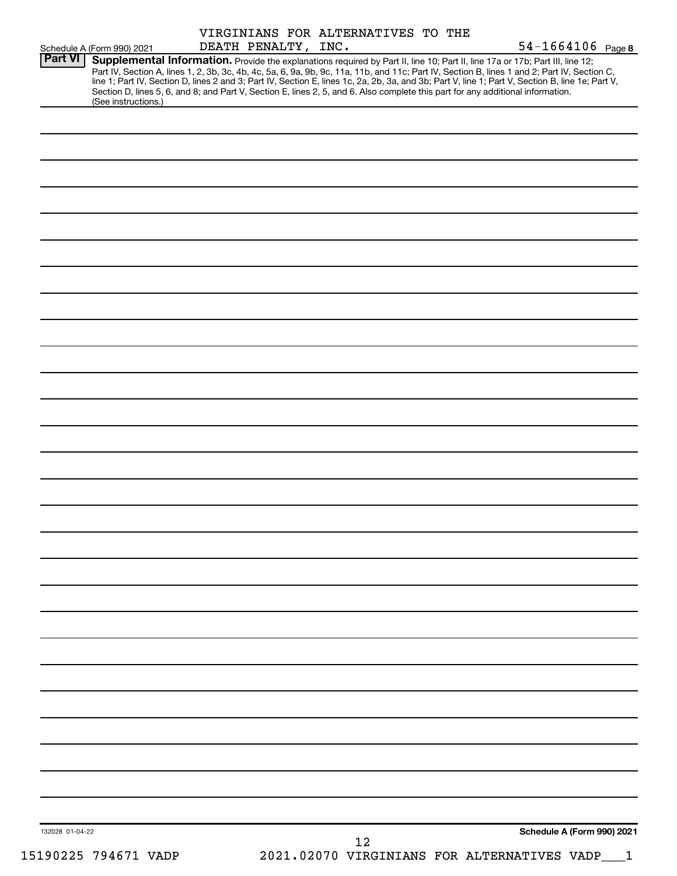| Part VI         | Schedule A (Form 990) 2021 | DEATH PENALTY, INC. | VIRGINIANS FOR ALTERNATIVES TO THE                                                                                                                                                                                                                                                                                                                                                                                                                                                                                                                                   | 54-1664106 Page 8          |
|-----------------|----------------------------|---------------------|----------------------------------------------------------------------------------------------------------------------------------------------------------------------------------------------------------------------------------------------------------------------------------------------------------------------------------------------------------------------------------------------------------------------------------------------------------------------------------------------------------------------------------------------------------------------|----------------------------|
|                 | (See instructions.)        |                     | Supplemental Information. Provide the explanations required by Part II, line 10; Part II, line 17a or 17b; Part III, line 12;<br>Part IV, Section A, lines 1, 2, 3b, 3c, 4b, 4c, 5a, 6, 9a, 9b, 9c, 11a, 11b, and 11c; Part IV, Section B, lines 1 and 2; Part IV, Section C,<br>line 1; Part IV, Section D, lines 2 and 3; Part IV, Section E, lines 1c, 2a, 2b, 3a, and 3b; Part V, line 1; Part V, Section B, line 1e; Part V,<br>Section D, lines 5, 6, and 8; and Part V, Section E, lines 2, 5, and 6. Also complete this part for any additional information. |                            |
|                 |                            |                     |                                                                                                                                                                                                                                                                                                                                                                                                                                                                                                                                                                      |                            |
|                 |                            |                     |                                                                                                                                                                                                                                                                                                                                                                                                                                                                                                                                                                      |                            |
|                 |                            |                     |                                                                                                                                                                                                                                                                                                                                                                                                                                                                                                                                                                      |                            |
|                 |                            |                     |                                                                                                                                                                                                                                                                                                                                                                                                                                                                                                                                                                      |                            |
|                 |                            |                     |                                                                                                                                                                                                                                                                                                                                                                                                                                                                                                                                                                      |                            |
|                 |                            |                     |                                                                                                                                                                                                                                                                                                                                                                                                                                                                                                                                                                      |                            |
|                 |                            |                     |                                                                                                                                                                                                                                                                                                                                                                                                                                                                                                                                                                      |                            |
|                 |                            |                     |                                                                                                                                                                                                                                                                                                                                                                                                                                                                                                                                                                      |                            |
|                 |                            |                     |                                                                                                                                                                                                                                                                                                                                                                                                                                                                                                                                                                      |                            |
|                 |                            |                     |                                                                                                                                                                                                                                                                                                                                                                                                                                                                                                                                                                      |                            |
|                 |                            |                     |                                                                                                                                                                                                                                                                                                                                                                                                                                                                                                                                                                      |                            |
|                 |                            |                     |                                                                                                                                                                                                                                                                                                                                                                                                                                                                                                                                                                      |                            |
|                 |                            |                     |                                                                                                                                                                                                                                                                                                                                                                                                                                                                                                                                                                      |                            |
|                 |                            |                     |                                                                                                                                                                                                                                                                                                                                                                                                                                                                                                                                                                      |                            |
|                 |                            |                     |                                                                                                                                                                                                                                                                                                                                                                                                                                                                                                                                                                      |                            |
|                 |                            |                     |                                                                                                                                                                                                                                                                                                                                                                                                                                                                                                                                                                      |                            |
|                 |                            |                     |                                                                                                                                                                                                                                                                                                                                                                                                                                                                                                                                                                      |                            |
|                 |                            |                     |                                                                                                                                                                                                                                                                                                                                                                                                                                                                                                                                                                      |                            |
|                 |                            |                     |                                                                                                                                                                                                                                                                                                                                                                                                                                                                                                                                                                      |                            |
|                 |                            |                     |                                                                                                                                                                                                                                                                                                                                                                                                                                                                                                                                                                      |                            |
|                 |                            |                     |                                                                                                                                                                                                                                                                                                                                                                                                                                                                                                                                                                      |                            |
|                 |                            |                     |                                                                                                                                                                                                                                                                                                                                                                                                                                                                                                                                                                      |                            |
|                 |                            |                     |                                                                                                                                                                                                                                                                                                                                                                                                                                                                                                                                                                      |                            |
|                 |                            |                     |                                                                                                                                                                                                                                                                                                                                                                                                                                                                                                                                                                      |                            |
|                 |                            |                     |                                                                                                                                                                                                                                                                                                                                                                                                                                                                                                                                                                      |                            |
|                 |                            |                     |                                                                                                                                                                                                                                                                                                                                                                                                                                                                                                                                                                      |                            |
| 132028 01-04-22 |                            |                     | 12                                                                                                                                                                                                                                                                                                                                                                                                                                                                                                                                                                   | Schedule A (Form 990) 2021 |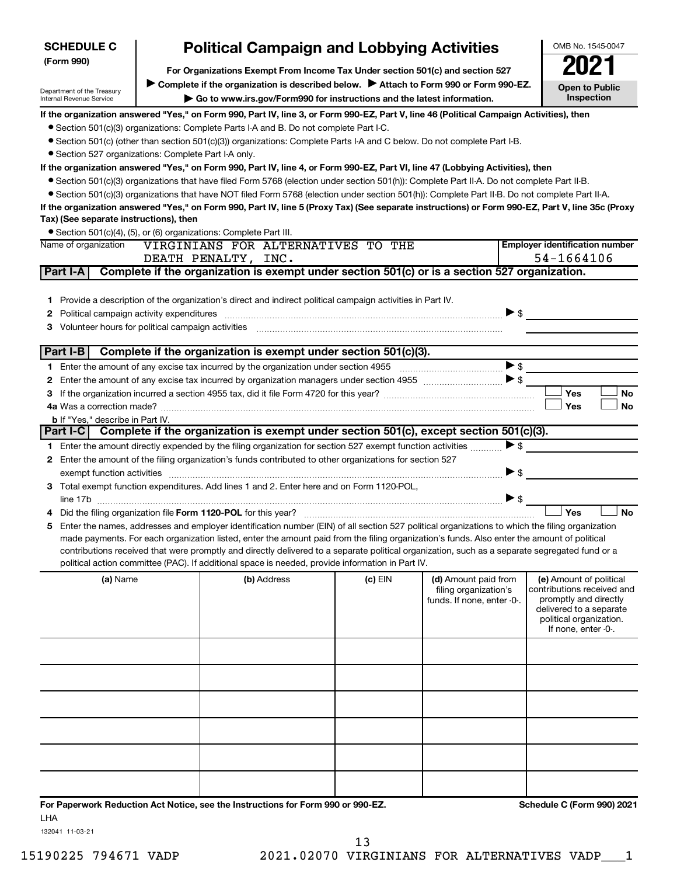| <b>SCHEDULE C</b>                                    | <b>Political Campaign and Lobbying Activities</b>                                                                                                             |                                                                                                                                                                                                                                                                                                                                                                                                   | OMB No. 1545-0047 |                                                                             |                                     |                                                                                                                                                             |
|------------------------------------------------------|---------------------------------------------------------------------------------------------------------------------------------------------------------------|---------------------------------------------------------------------------------------------------------------------------------------------------------------------------------------------------------------------------------------------------------------------------------------------------------------------------------------------------------------------------------------------------|-------------------|-----------------------------------------------------------------------------|-------------------------------------|-------------------------------------------------------------------------------------------------------------------------------------------------------------|
| (Form 990)                                           |                                                                                                                                                               |                                                                                                                                                                                                                                                                                                                                                                                                   |                   |                                                                             |                                     |                                                                                                                                                             |
|                                                      | For Organizations Exempt From Income Tax Under section 501(c) and section 527                                                                                 |                                                                                                                                                                                                                                                                                                                                                                                                   |                   |                                                                             |                                     |                                                                                                                                                             |
| Department of the Treasury                           | Complete if the organization is described below. Attach to Form 990 or Form 990-EZ.<br>Go to www.irs.gov/Form990 for instructions and the latest information. |                                                                                                                                                                                                                                                                                                                                                                                                   |                   |                                                                             | <b>Open to Public</b><br>Inspection |                                                                                                                                                             |
| Internal Revenue Service                             |                                                                                                                                                               |                                                                                                                                                                                                                                                                                                                                                                                                   |                   |                                                                             |                                     |                                                                                                                                                             |
|                                                      |                                                                                                                                                               | If the organization answered "Yes," on Form 990, Part IV, line 3, or Form 990-EZ, Part V, line 46 (Political Campaign Activities), then                                                                                                                                                                                                                                                           |                   |                                                                             |                                     |                                                                                                                                                             |
|                                                      |                                                                                                                                                               | • Section 501(c)(3) organizations: Complete Parts I-A and B. Do not complete Part I-C.                                                                                                                                                                                                                                                                                                            |                   |                                                                             |                                     |                                                                                                                                                             |
| · Section 527 organizations: Complete Part I-A only. |                                                                                                                                                               | • Section 501(c) (other than section 501(c)(3)) organizations: Complete Parts I-A and C below. Do not complete Part I-B.                                                                                                                                                                                                                                                                          |                   |                                                                             |                                     |                                                                                                                                                             |
|                                                      |                                                                                                                                                               | If the organization answered "Yes," on Form 990, Part IV, line 4, or Form 990-EZ, Part VI, line 47 (Lobbying Activities), then                                                                                                                                                                                                                                                                    |                   |                                                                             |                                     |                                                                                                                                                             |
|                                                      |                                                                                                                                                               | • Section 501(c)(3) organizations that have filed Form 5768 (election under section 501(h)): Complete Part II-A. Do not complete Part II-B.                                                                                                                                                                                                                                                       |                   |                                                                             |                                     |                                                                                                                                                             |
|                                                      |                                                                                                                                                               | • Section 501(c)(3) organizations that have NOT filed Form 5768 (election under section 501(h)): Complete Part II-B. Do not complete Part II-A.                                                                                                                                                                                                                                                   |                   |                                                                             |                                     |                                                                                                                                                             |
| Tax) (See separate instructions), then               |                                                                                                                                                               | If the organization answered "Yes," on Form 990, Part IV, line 5 (Proxy Tax) (See separate instructions) or Form 990-EZ, Part V, line 35c (Proxy                                                                                                                                                                                                                                                  |                   |                                                                             |                                     |                                                                                                                                                             |
|                                                      |                                                                                                                                                               | • Section 501(c)(4), (5), or (6) organizations: Complete Part III.                                                                                                                                                                                                                                                                                                                                |                   |                                                                             |                                     |                                                                                                                                                             |
| Name of organization                                 |                                                                                                                                                               | VIRGINIANS FOR ALTERNATIVES TO THE<br>DEATH PENALTY, INC.                                                                                                                                                                                                                                                                                                                                         |                   |                                                                             |                                     | <b>Employer identification number</b><br>54-1664106                                                                                                         |
| Part I-A                                             |                                                                                                                                                               | Complete if the organization is exempt under section 501(c) or is a section 527 organization.                                                                                                                                                                                                                                                                                                     |                   |                                                                             |                                     |                                                                                                                                                             |
| 2<br>3                                               |                                                                                                                                                               | 1 Provide a description of the organization's direct and indirect political campaign activities in Part IV.<br>Volunteer hours for political campaign activities [11, 2010] www.management.com/management.com/management.com/                                                                                                                                                                     |                   |                                                                             | $\triangleright$ s                  |                                                                                                                                                             |
|                                                      |                                                                                                                                                               | Part I-B   Complete if the organization is exempt under section 501(c)(3).                                                                                                                                                                                                                                                                                                                        |                   |                                                                             |                                     |                                                                                                                                                             |
|                                                      |                                                                                                                                                               |                                                                                                                                                                                                                                                                                                                                                                                                   |                   |                                                                             | $\blacktriangleright$ \$            |                                                                                                                                                             |
| 2                                                    |                                                                                                                                                               | Enter the amount of any excise tax incurred by organization managers under section 4955 [1001] [1001] \$                                                                                                                                                                                                                                                                                          |                   |                                                                             |                                     |                                                                                                                                                             |
| 3                                                    |                                                                                                                                                               |                                                                                                                                                                                                                                                                                                                                                                                                   |                   |                                                                             |                                     | <b>Yes</b><br><b>No</b>                                                                                                                                     |
|                                                      |                                                                                                                                                               |                                                                                                                                                                                                                                                                                                                                                                                                   |                   |                                                                             |                                     | Yes<br>No                                                                                                                                                   |
| <b>b</b> If "Yes," describe in Part IV.              |                                                                                                                                                               | Part I-C Complete if the organization is exempt under section 501(c), except section 501(c)(3).                                                                                                                                                                                                                                                                                                   |                   |                                                                             |                                     |                                                                                                                                                             |
|                                                      |                                                                                                                                                               | 1 Enter the amount directly expended by the filing organization for section 527 exempt function activities                                                                                                                                                                                                                                                                                        |                   |                                                                             | $\blacktriangleright$ \$            |                                                                                                                                                             |
|                                                      |                                                                                                                                                               | 2 Enter the amount of the filing organization's funds contributed to other organizations for section 527                                                                                                                                                                                                                                                                                          |                   |                                                                             |                                     |                                                                                                                                                             |
| exempt function activities                           |                                                                                                                                                               |                                                                                                                                                                                                                                                                                                                                                                                                   |                   |                                                                             | $\blacktriangleright$ \$            |                                                                                                                                                             |
|                                                      |                                                                                                                                                               | 3 Total exempt function expenditures. Add lines 1 and 2. Enter here and on Form 1120-POL,                                                                                                                                                                                                                                                                                                         |                   |                                                                             |                                     |                                                                                                                                                             |
|                                                      |                                                                                                                                                               |                                                                                                                                                                                                                                                                                                                                                                                                   |                   |                                                                             | $\blacktriangleright$ \$            |                                                                                                                                                             |
|                                                      |                                                                                                                                                               |                                                                                                                                                                                                                                                                                                                                                                                                   |                   |                                                                             |                                     | Yes<br><b>No</b>                                                                                                                                            |
|                                                      |                                                                                                                                                               | Enter the names, addresses and employer identification number (EIN) of all section 527 political organizations to which the filing organization                                                                                                                                                                                                                                                   |                   |                                                                             |                                     |                                                                                                                                                             |
|                                                      |                                                                                                                                                               | made payments. For each organization listed, enter the amount paid from the filing organization's funds. Also enter the amount of political<br>contributions received that were promptly and directly delivered to a separate political organization, such as a separate segregated fund or a<br>political action committee (PAC). If additional space is needed, provide information in Part IV. |                   |                                                                             |                                     |                                                                                                                                                             |
| (a) Name                                             |                                                                                                                                                               | (b) Address                                                                                                                                                                                                                                                                                                                                                                                       | (c) EIN           | (d) Amount paid from<br>filing organization's<br>funds. If none, enter -0-. |                                     | (e) Amount of political<br>contributions received and<br>promptly and directly<br>delivered to a separate<br>political organization.<br>If none, enter -0-. |
|                                                      |                                                                                                                                                               |                                                                                                                                                                                                                                                                                                                                                                                                   |                   |                                                                             |                                     |                                                                                                                                                             |
|                                                      |                                                                                                                                                               |                                                                                                                                                                                                                                                                                                                                                                                                   |                   |                                                                             |                                     |                                                                                                                                                             |
|                                                      |                                                                                                                                                               |                                                                                                                                                                                                                                                                                                                                                                                                   |                   |                                                                             |                                     |                                                                                                                                                             |
|                                                      |                                                                                                                                                               |                                                                                                                                                                                                                                                                                                                                                                                                   |                   |                                                                             |                                     |                                                                                                                                                             |
| LHA                                                  |                                                                                                                                                               | For Paperwork Reduction Act Notice, see the Instructions for Form 990 or 990-EZ.                                                                                                                                                                                                                                                                                                                  |                   |                                                                             |                                     | Schedule C (Form 990) 2021                                                                                                                                  |

132041 11-03-21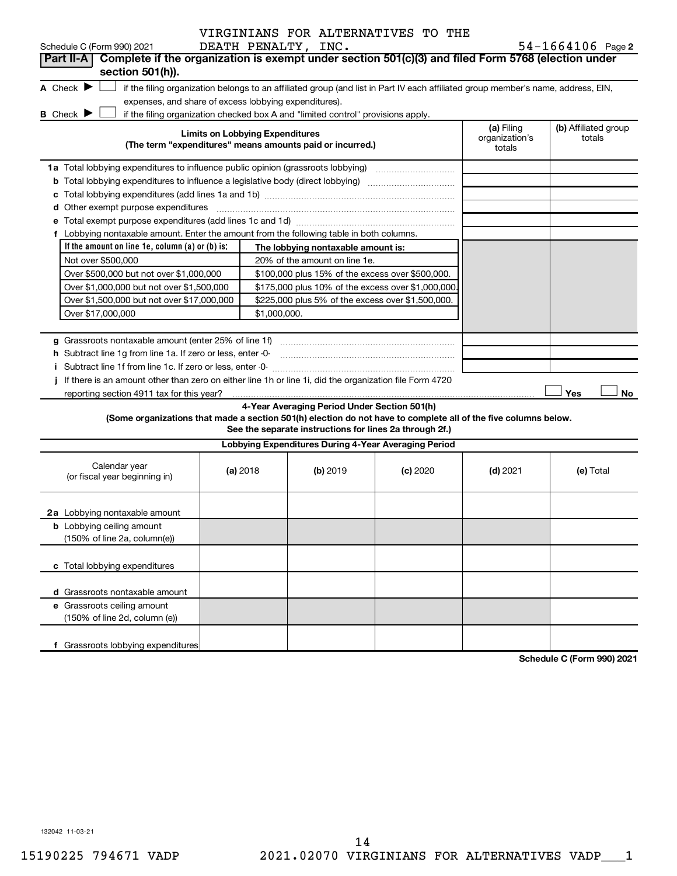| Part II-A   Complete if the organization is exempt under section 501(c)(3) and filed Form 5768 (election under<br>section 501(h)).<br>A Check $\blacktriangleright$<br>if the filing organization belongs to an affiliated group (and list in Part IV each affiliated group member's name, address, EIN,<br>expenses, and share of excess lobbying expenditures).<br>if the filing organization checked box A and "limited control" provisions apply.<br><b>B</b> Check $\blacktriangleright$<br>(a) Filing<br>(b) Affiliated group<br><b>Limits on Lobbying Expenditures</b><br>organization's<br>totals<br>(The term "expenditures" means amounts paid or incurred.)<br>totals<br>1a Total lobbying expenditures to influence public opinion (grassroots lobbying) [<br><b>b</b> Total lobbying expenditures to influence a legislative body (direct lobbying) <i>manumumumum</i><br>с<br>d Other exempt purpose expenditures<br>f Lobbying nontaxable amount. Enter the amount from the following table in both columns.<br>If the amount on line 1e, column $(a)$ or $(b)$ is:<br>The lobbying nontaxable amount is:<br>Not over \$500,000<br>20% of the amount on line 1e.<br>Over \$500,000 but not over \$1,000,000<br>\$100,000 plus 15% of the excess over \$500,000.<br>Over \$1,000,000 but not over \$1,500,000<br>\$175,000 plus 10% of the excess over \$1,000,000<br>Over \$1,500,000 but not over \$17,000,000<br>\$225,000 plus 5% of the excess over \$1,500,000.<br>Over \$17,000,000<br>\$1,000,000.<br>g Grassroots nontaxable amount (enter 25% of line 1f)<br>h Subtract line 1g from line 1a. If zero or less, enter -0-<br>If there is an amount other than zero on either line 1h or line 1i, did the organization file Form 4720<br>Yes<br>No<br>reporting section 4911 tax for this year?<br>4-Year Averaging Period Under Section 501(h)<br>(Some organizations that made a section 501(h) election do not have to complete all of the five columns below.<br>See the separate instructions for lines 2a through 2f.)<br>Lobbying Expenditures During 4-Year Averaging Period<br>Calendar year<br>(a) 2018<br>$(b)$ 2019<br>(c) 2020<br>$(d)$ 2021<br>(e) Total<br>(or fiscal year beginning in)<br>2a Lobbying nontaxable amount<br><b>b</b> Lobbying ceiling amount<br>(150% of line 2a, column(e))<br>c Total lobbying expenditures<br>d Grassroots nontaxable amount<br>e Grassroots ceiling amount<br>(150% of line 2d, column (e))<br>f Grassroots lobbying expenditures | Schedule C (Form 990) 2021 |  | DEATH PENALTY, INC. | VIRGINIANS FOR ALTERNATIVES TO THE | $54 - 1664106$ Page 2 |
|-------------------------------------------------------------------------------------------------------------------------------------------------------------------------------------------------------------------------------------------------------------------------------------------------------------------------------------------------------------------------------------------------------------------------------------------------------------------------------------------------------------------------------------------------------------------------------------------------------------------------------------------------------------------------------------------------------------------------------------------------------------------------------------------------------------------------------------------------------------------------------------------------------------------------------------------------------------------------------------------------------------------------------------------------------------------------------------------------------------------------------------------------------------------------------------------------------------------------------------------------------------------------------------------------------------------------------------------------------------------------------------------------------------------------------------------------------------------------------------------------------------------------------------------------------------------------------------------------------------------------------------------------------------------------------------------------------------------------------------------------------------------------------------------------------------------------------------------------------------------------------------------------------------------------------------------------------------------------------------------------------------------------------------------------------------------------------------------------------------------------------------------------------------------------------------------------------------------------------------------------------------------------------------------------------------------------------------------------------------------------------------------------------------------------------------------------------------------------------------------------------------|----------------------------|--|---------------------|------------------------------------|-----------------------|
|                                                                                                                                                                                                                                                                                                                                                                                                                                                                                                                                                                                                                                                                                                                                                                                                                                                                                                                                                                                                                                                                                                                                                                                                                                                                                                                                                                                                                                                                                                                                                                                                                                                                                                                                                                                                                                                                                                                                                                                                                                                                                                                                                                                                                                                                                                                                                                                                                                                                                                             |                            |  |                     |                                    |                       |
|                                                                                                                                                                                                                                                                                                                                                                                                                                                                                                                                                                                                                                                                                                                                                                                                                                                                                                                                                                                                                                                                                                                                                                                                                                                                                                                                                                                                                                                                                                                                                                                                                                                                                                                                                                                                                                                                                                                                                                                                                                                                                                                                                                                                                                                                                                                                                                                                                                                                                                             |                            |  |                     |                                    |                       |
|                                                                                                                                                                                                                                                                                                                                                                                                                                                                                                                                                                                                                                                                                                                                                                                                                                                                                                                                                                                                                                                                                                                                                                                                                                                                                                                                                                                                                                                                                                                                                                                                                                                                                                                                                                                                                                                                                                                                                                                                                                                                                                                                                                                                                                                                                                                                                                                                                                                                                                             |                            |  |                     |                                    |                       |
|                                                                                                                                                                                                                                                                                                                                                                                                                                                                                                                                                                                                                                                                                                                                                                                                                                                                                                                                                                                                                                                                                                                                                                                                                                                                                                                                                                                                                                                                                                                                                                                                                                                                                                                                                                                                                                                                                                                                                                                                                                                                                                                                                                                                                                                                                                                                                                                                                                                                                                             |                            |  |                     |                                    |                       |
|                                                                                                                                                                                                                                                                                                                                                                                                                                                                                                                                                                                                                                                                                                                                                                                                                                                                                                                                                                                                                                                                                                                                                                                                                                                                                                                                                                                                                                                                                                                                                                                                                                                                                                                                                                                                                                                                                                                                                                                                                                                                                                                                                                                                                                                                                                                                                                                                                                                                                                             |                            |  |                     |                                    |                       |
|                                                                                                                                                                                                                                                                                                                                                                                                                                                                                                                                                                                                                                                                                                                                                                                                                                                                                                                                                                                                                                                                                                                                                                                                                                                                                                                                                                                                                                                                                                                                                                                                                                                                                                                                                                                                                                                                                                                                                                                                                                                                                                                                                                                                                                                                                                                                                                                                                                                                                                             |                            |  |                     |                                    |                       |
|                                                                                                                                                                                                                                                                                                                                                                                                                                                                                                                                                                                                                                                                                                                                                                                                                                                                                                                                                                                                                                                                                                                                                                                                                                                                                                                                                                                                                                                                                                                                                                                                                                                                                                                                                                                                                                                                                                                                                                                                                                                                                                                                                                                                                                                                                                                                                                                                                                                                                                             |                            |  |                     |                                    |                       |
|                                                                                                                                                                                                                                                                                                                                                                                                                                                                                                                                                                                                                                                                                                                                                                                                                                                                                                                                                                                                                                                                                                                                                                                                                                                                                                                                                                                                                                                                                                                                                                                                                                                                                                                                                                                                                                                                                                                                                                                                                                                                                                                                                                                                                                                                                                                                                                                                                                                                                                             |                            |  |                     |                                    |                       |
|                                                                                                                                                                                                                                                                                                                                                                                                                                                                                                                                                                                                                                                                                                                                                                                                                                                                                                                                                                                                                                                                                                                                                                                                                                                                                                                                                                                                                                                                                                                                                                                                                                                                                                                                                                                                                                                                                                                                                                                                                                                                                                                                                                                                                                                                                                                                                                                                                                                                                                             |                            |  |                     |                                    |                       |
|                                                                                                                                                                                                                                                                                                                                                                                                                                                                                                                                                                                                                                                                                                                                                                                                                                                                                                                                                                                                                                                                                                                                                                                                                                                                                                                                                                                                                                                                                                                                                                                                                                                                                                                                                                                                                                                                                                                                                                                                                                                                                                                                                                                                                                                                                                                                                                                                                                                                                                             |                            |  |                     |                                    |                       |
|                                                                                                                                                                                                                                                                                                                                                                                                                                                                                                                                                                                                                                                                                                                                                                                                                                                                                                                                                                                                                                                                                                                                                                                                                                                                                                                                                                                                                                                                                                                                                                                                                                                                                                                                                                                                                                                                                                                                                                                                                                                                                                                                                                                                                                                                                                                                                                                                                                                                                                             |                            |  |                     |                                    |                       |
|                                                                                                                                                                                                                                                                                                                                                                                                                                                                                                                                                                                                                                                                                                                                                                                                                                                                                                                                                                                                                                                                                                                                                                                                                                                                                                                                                                                                                                                                                                                                                                                                                                                                                                                                                                                                                                                                                                                                                                                                                                                                                                                                                                                                                                                                                                                                                                                                                                                                                                             |                            |  |                     |                                    |                       |
|                                                                                                                                                                                                                                                                                                                                                                                                                                                                                                                                                                                                                                                                                                                                                                                                                                                                                                                                                                                                                                                                                                                                                                                                                                                                                                                                                                                                                                                                                                                                                                                                                                                                                                                                                                                                                                                                                                                                                                                                                                                                                                                                                                                                                                                                                                                                                                                                                                                                                                             |                            |  |                     |                                    |                       |
|                                                                                                                                                                                                                                                                                                                                                                                                                                                                                                                                                                                                                                                                                                                                                                                                                                                                                                                                                                                                                                                                                                                                                                                                                                                                                                                                                                                                                                                                                                                                                                                                                                                                                                                                                                                                                                                                                                                                                                                                                                                                                                                                                                                                                                                                                                                                                                                                                                                                                                             |                            |  |                     |                                    |                       |
|                                                                                                                                                                                                                                                                                                                                                                                                                                                                                                                                                                                                                                                                                                                                                                                                                                                                                                                                                                                                                                                                                                                                                                                                                                                                                                                                                                                                                                                                                                                                                                                                                                                                                                                                                                                                                                                                                                                                                                                                                                                                                                                                                                                                                                                                                                                                                                                                                                                                                                             |                            |  |                     |                                    |                       |
|                                                                                                                                                                                                                                                                                                                                                                                                                                                                                                                                                                                                                                                                                                                                                                                                                                                                                                                                                                                                                                                                                                                                                                                                                                                                                                                                                                                                                                                                                                                                                                                                                                                                                                                                                                                                                                                                                                                                                                                                                                                                                                                                                                                                                                                                                                                                                                                                                                                                                                             |                            |  |                     |                                    |                       |
|                                                                                                                                                                                                                                                                                                                                                                                                                                                                                                                                                                                                                                                                                                                                                                                                                                                                                                                                                                                                                                                                                                                                                                                                                                                                                                                                                                                                                                                                                                                                                                                                                                                                                                                                                                                                                                                                                                                                                                                                                                                                                                                                                                                                                                                                                                                                                                                                                                                                                                             |                            |  |                     |                                    |                       |
|                                                                                                                                                                                                                                                                                                                                                                                                                                                                                                                                                                                                                                                                                                                                                                                                                                                                                                                                                                                                                                                                                                                                                                                                                                                                                                                                                                                                                                                                                                                                                                                                                                                                                                                                                                                                                                                                                                                                                                                                                                                                                                                                                                                                                                                                                                                                                                                                                                                                                                             |                            |  |                     |                                    |                       |
|                                                                                                                                                                                                                                                                                                                                                                                                                                                                                                                                                                                                                                                                                                                                                                                                                                                                                                                                                                                                                                                                                                                                                                                                                                                                                                                                                                                                                                                                                                                                                                                                                                                                                                                                                                                                                                                                                                                                                                                                                                                                                                                                                                                                                                                                                                                                                                                                                                                                                                             |                            |  |                     |                                    |                       |
|                                                                                                                                                                                                                                                                                                                                                                                                                                                                                                                                                                                                                                                                                                                                                                                                                                                                                                                                                                                                                                                                                                                                                                                                                                                                                                                                                                                                                                                                                                                                                                                                                                                                                                                                                                                                                                                                                                                                                                                                                                                                                                                                                                                                                                                                                                                                                                                                                                                                                                             |                            |  |                     |                                    |                       |
|                                                                                                                                                                                                                                                                                                                                                                                                                                                                                                                                                                                                                                                                                                                                                                                                                                                                                                                                                                                                                                                                                                                                                                                                                                                                                                                                                                                                                                                                                                                                                                                                                                                                                                                                                                                                                                                                                                                                                                                                                                                                                                                                                                                                                                                                                                                                                                                                                                                                                                             |                            |  |                     |                                    |                       |
|                                                                                                                                                                                                                                                                                                                                                                                                                                                                                                                                                                                                                                                                                                                                                                                                                                                                                                                                                                                                                                                                                                                                                                                                                                                                                                                                                                                                                                                                                                                                                                                                                                                                                                                                                                                                                                                                                                                                                                                                                                                                                                                                                                                                                                                                                                                                                                                                                                                                                                             |                            |  |                     |                                    |                       |
|                                                                                                                                                                                                                                                                                                                                                                                                                                                                                                                                                                                                                                                                                                                                                                                                                                                                                                                                                                                                                                                                                                                                                                                                                                                                                                                                                                                                                                                                                                                                                                                                                                                                                                                                                                                                                                                                                                                                                                                                                                                                                                                                                                                                                                                                                                                                                                                                                                                                                                             |                            |  |                     |                                    |                       |
|                                                                                                                                                                                                                                                                                                                                                                                                                                                                                                                                                                                                                                                                                                                                                                                                                                                                                                                                                                                                                                                                                                                                                                                                                                                                                                                                                                                                                                                                                                                                                                                                                                                                                                                                                                                                                                                                                                                                                                                                                                                                                                                                                                                                                                                                                                                                                                                                                                                                                                             |                            |  |                     |                                    |                       |
|                                                                                                                                                                                                                                                                                                                                                                                                                                                                                                                                                                                                                                                                                                                                                                                                                                                                                                                                                                                                                                                                                                                                                                                                                                                                                                                                                                                                                                                                                                                                                                                                                                                                                                                                                                                                                                                                                                                                                                                                                                                                                                                                                                                                                                                                                                                                                                                                                                                                                                             |                            |  |                     |                                    |                       |
|                                                                                                                                                                                                                                                                                                                                                                                                                                                                                                                                                                                                                                                                                                                                                                                                                                                                                                                                                                                                                                                                                                                                                                                                                                                                                                                                                                                                                                                                                                                                                                                                                                                                                                                                                                                                                                                                                                                                                                                                                                                                                                                                                                                                                                                                                                                                                                                                                                                                                                             |                            |  |                     |                                    |                       |
|                                                                                                                                                                                                                                                                                                                                                                                                                                                                                                                                                                                                                                                                                                                                                                                                                                                                                                                                                                                                                                                                                                                                                                                                                                                                                                                                                                                                                                                                                                                                                                                                                                                                                                                                                                                                                                                                                                                                                                                                                                                                                                                                                                                                                                                                                                                                                                                                                                                                                                             |                            |  |                     |                                    |                       |
|                                                                                                                                                                                                                                                                                                                                                                                                                                                                                                                                                                                                                                                                                                                                                                                                                                                                                                                                                                                                                                                                                                                                                                                                                                                                                                                                                                                                                                                                                                                                                                                                                                                                                                                                                                                                                                                                                                                                                                                                                                                                                                                                                                                                                                                                                                                                                                                                                                                                                                             |                            |  |                     |                                    |                       |
|                                                                                                                                                                                                                                                                                                                                                                                                                                                                                                                                                                                                                                                                                                                                                                                                                                                                                                                                                                                                                                                                                                                                                                                                                                                                                                                                                                                                                                                                                                                                                                                                                                                                                                                                                                                                                                                                                                                                                                                                                                                                                                                                                                                                                                                                                                                                                                                                                                                                                                             |                            |  |                     |                                    |                       |
|                                                                                                                                                                                                                                                                                                                                                                                                                                                                                                                                                                                                                                                                                                                                                                                                                                                                                                                                                                                                                                                                                                                                                                                                                                                                                                                                                                                                                                                                                                                                                                                                                                                                                                                                                                                                                                                                                                                                                                                                                                                                                                                                                                                                                                                                                                                                                                                                                                                                                                             |                            |  |                     |                                    |                       |
|                                                                                                                                                                                                                                                                                                                                                                                                                                                                                                                                                                                                                                                                                                                                                                                                                                                                                                                                                                                                                                                                                                                                                                                                                                                                                                                                                                                                                                                                                                                                                                                                                                                                                                                                                                                                                                                                                                                                                                                                                                                                                                                                                                                                                                                                                                                                                                                                                                                                                                             |                            |  |                     |                                    |                       |
|                                                                                                                                                                                                                                                                                                                                                                                                                                                                                                                                                                                                                                                                                                                                                                                                                                                                                                                                                                                                                                                                                                                                                                                                                                                                                                                                                                                                                                                                                                                                                                                                                                                                                                                                                                                                                                                                                                                                                                                                                                                                                                                                                                                                                                                                                                                                                                                                                                                                                                             |                            |  |                     |                                    |                       |
|                                                                                                                                                                                                                                                                                                                                                                                                                                                                                                                                                                                                                                                                                                                                                                                                                                                                                                                                                                                                                                                                                                                                                                                                                                                                                                                                                                                                                                                                                                                                                                                                                                                                                                                                                                                                                                                                                                                                                                                                                                                                                                                                                                                                                                                                                                                                                                                                                                                                                                             |                            |  |                     |                                    |                       |
|                                                                                                                                                                                                                                                                                                                                                                                                                                                                                                                                                                                                                                                                                                                                                                                                                                                                                                                                                                                                                                                                                                                                                                                                                                                                                                                                                                                                                                                                                                                                                                                                                                                                                                                                                                                                                                                                                                                                                                                                                                                                                                                                                                                                                                                                                                                                                                                                                                                                                                             |                            |  |                     |                                    |                       |
| Schedule C (Form 990) 2021                                                                                                                                                                                                                                                                                                                                                                                                                                                                                                                                                                                                                                                                                                                                                                                                                                                                                                                                                                                                                                                                                                                                                                                                                                                                                                                                                                                                                                                                                                                                                                                                                                                                                                                                                                                                                                                                                                                                                                                                                                                                                                                                                                                                                                                                                                                                                                                                                                                                                  |                            |  |                     |                                    |                       |

**Schedule C (Form 990)** 

132042 11-03-21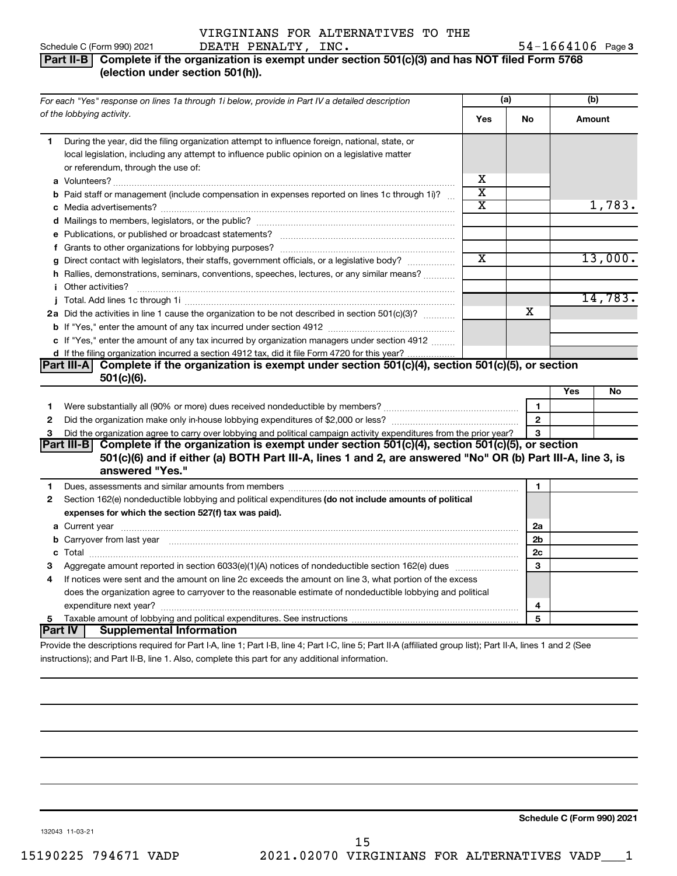### Schedule C (Form 990) 2021 **DEATH PENALTY,**  $INC$  **.** 54-1664106 Page *VIRGINIANS FOR ALTERNATIVES TO THE*

### **Part II-B | Complete if the organization is exempt under section 501(c)(3) and has NOT filed Form 5768 (election under section 501(h)).**

| For each "Yes" response on lines 1a through 1i below, provide in Part IV a detailed description<br>of the lobbying activity. |                                                                                                                                                                                                                                       | (a)                         |                | (b)    |         |
|------------------------------------------------------------------------------------------------------------------------------|---------------------------------------------------------------------------------------------------------------------------------------------------------------------------------------------------------------------------------------|-----------------------------|----------------|--------|---------|
|                                                                                                                              |                                                                                                                                                                                                                                       | Yes                         | No.            | Amount |         |
| 1.                                                                                                                           | During the year, did the filing organization attempt to influence foreign, national, state, or<br>local legislation, including any attempt to influence public opinion on a legislative matter<br>or referendum, through the use of:  |                             |                |        |         |
|                                                                                                                              |                                                                                                                                                                                                                                       | x                           |                |        |         |
|                                                                                                                              | <b>b</b> Paid staff or management (include compensation in expenses reported on lines 1c through 1i)?                                                                                                                                 | $\overline{\textnormal{x}}$ |                |        |         |
|                                                                                                                              |                                                                                                                                                                                                                                       | $\overline{\text{x}}$       |                |        | 1,783.  |
|                                                                                                                              |                                                                                                                                                                                                                                       |                             |                |        |         |
|                                                                                                                              |                                                                                                                                                                                                                                       |                             |                |        |         |
|                                                                                                                              |                                                                                                                                                                                                                                       |                             |                |        |         |
|                                                                                                                              | g Direct contact with legislators, their staffs, government officials, or a legislative body?                                                                                                                                         | $\overline{\text{x}}$       |                |        | 13,000. |
|                                                                                                                              | h Rallies, demonstrations, seminars, conventions, speeches, lectures, or any similar means?                                                                                                                                           |                             |                |        |         |
|                                                                                                                              | <i>i</i> Other activities?                                                                                                                                                                                                            |                             |                |        |         |
|                                                                                                                              |                                                                                                                                                                                                                                       |                             |                |        | 14,783. |
|                                                                                                                              | 2a Did the activities in line 1 cause the organization to be not described in section 501(c)(3)?                                                                                                                                      |                             | x              |        |         |
|                                                                                                                              |                                                                                                                                                                                                                                       |                             |                |        |         |
|                                                                                                                              | c If "Yes," enter the amount of any tax incurred by organization managers under section 4912                                                                                                                                          |                             |                |        |         |
|                                                                                                                              | d If the filing organization incurred a section 4912 tax, did it file Form 4720 for this year?                                                                                                                                        |                             |                |        |         |
|                                                                                                                              | Complete if the organization is exempt under section 501(c)(4), section 501(c)(5), or section<br>Part III-AI                                                                                                                          |                             |                |        |         |
|                                                                                                                              | $501(c)(6)$ .                                                                                                                                                                                                                         |                             |                | Yes    | No      |
|                                                                                                                              |                                                                                                                                                                                                                                       |                             |                |        |         |
| 1                                                                                                                            |                                                                                                                                                                                                                                       |                             | $\blacksquare$ |        |         |
| 2                                                                                                                            |                                                                                                                                                                                                                                       |                             | $\mathbf{2}$   |        |         |
| 3                                                                                                                            | Did the organization agree to carry over lobbying and political campaign activity expenditures from the prior year?<br>Part III-B Complete if the organization is exempt under section $501(c)(4)$ , section $501(c)(5)$ , or section |                             | 3              |        |         |
|                                                                                                                              | 501(c)(6) and if either (a) BOTH Part III-A, lines 1 and 2, are answered "No" OR (b) Part III-A, line 3, is<br>answered "Yes."                                                                                                        |                             |                |        |         |
| 1.                                                                                                                           |                                                                                                                                                                                                                                       |                             | 1              |        |         |
| 2                                                                                                                            | Section 162(e) nondeductible lobbying and political expenditures (do not include amounts of political                                                                                                                                 |                             |                |        |         |
|                                                                                                                              | expenses for which the section 527(f) tax was paid).                                                                                                                                                                                  |                             |                |        |         |
|                                                                                                                              |                                                                                                                                                                                                                                       |                             | 2a             |        |         |
|                                                                                                                              | b Carryover from last year manufactured and continuum control of the control of the control of the control of the control of the control of the control of the control of the control of the control of the control of the con        |                             | 2 <sub>b</sub> |        |         |
|                                                                                                                              |                                                                                                                                                                                                                                       |                             | 2c             |        |         |
| з                                                                                                                            | Aggregate amount reported in section 6033(e)(1)(A) notices of nondeductible section 162(e) dues                                                                                                                                       |                             | 3              |        |         |
| 4                                                                                                                            | If notices were sent and the amount on line 2c exceeds the amount on line 3, what portion of the excess                                                                                                                               |                             |                |        |         |
|                                                                                                                              | does the organization agree to carryover to the reasonable estimate of nondeductible lobbying and political                                                                                                                           |                             |                |        |         |
|                                                                                                                              |                                                                                                                                                                                                                                       |                             | 4              |        |         |
| 5                                                                                                                            |                                                                                                                                                                                                                                       |                             | 5              |        |         |
|                                                                                                                              | Part IV<br><b>Supplemental Information</b>                                                                                                                                                                                            |                             |                |        |         |
|                                                                                                                              | del de calcionation de contrad de Deut I.A. Recent De De L.I.D. Recent O. Rec. En Deut II.A. (eddicted mechanical Deut II.A. Recent e                                                                                                 |                             |                |        |         |

Provide the descriptions required for Part I-A, line 1; Part I-B, line 4; Part I-C, line 5; Part II-A (affiliated group list); Part II-A, lines 1 and 2 (See instructions); and Part II-B, line 1. Also, complete this part for any additional information.

**Schedule C (Form 990) 2021**

132043 11-03-21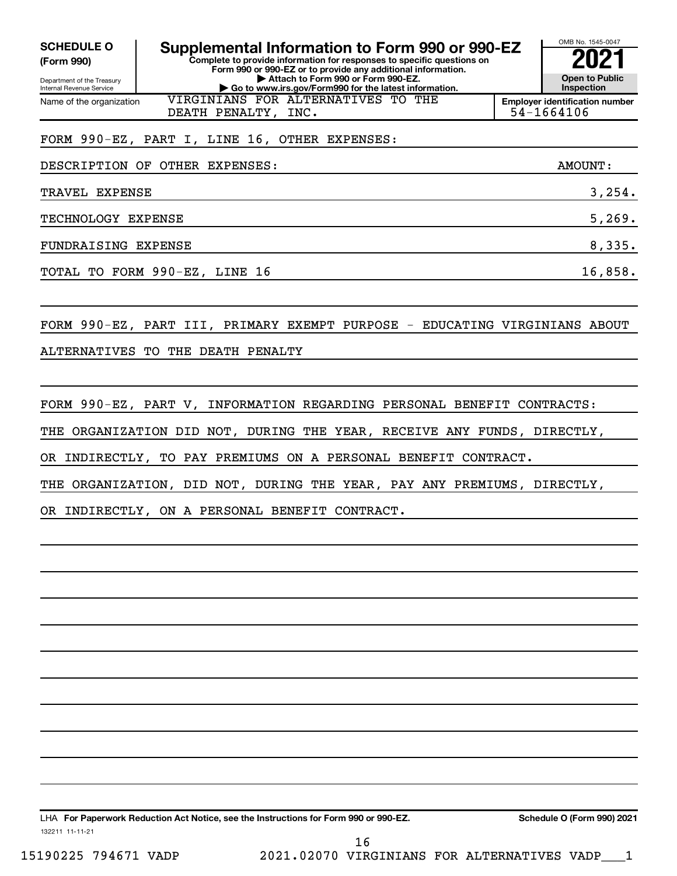**(Form 990)**

Department of the Treasury Internal Revenue Service

**Complete to provide information for responses to specific questions on Form 990 or 990-EZ or to provide any additional information. | Attach to Form 990 or Form 990-EZ. | Go to www.irs.gov/Form990 for the latest information. Open to Public Inspection Employer identification number** Name of the organization **SCHEDULE O Supplemental Information to Form 990 or 990-EZ** <br>(Form 990) Complete to provide information for responses to specific questions on *VIRGINIANS FOR ALTERNATIVES TO THE*

*DEATH PENALTY, INC. 54-1664106*

### *FORM 990-EZ, PART I, LINE 16, OTHER EXPENSES:*

| DESCRIPTION OF OTHER EXPENSES: | AMOUNT: |
|--------------------------------|---------|
| TRAVEL EXPENSE                 | 3,254.  |
| TECHNOLOGY EXPENSE             | 5,269.  |
| FUNDRAISING EXPENSE            | 8,335.  |
| TOTAL TO FORM 990-EZ, LINE 16  | 16,858. |

*FORM 990-EZ, PART III, PRIMARY EXEMPT PURPOSE - EDUCATING VIRGINIANS ABOUT*

*ALTERNATIVES TO THE DEATH PENALTY*

*FORM 990-EZ, PART V, INFORMATION REGARDING PERSONAL BENEFIT CONTRACTS:*

*THE ORGANIZATION DID NOT, DURING THE YEAR, RECEIVE ANY FUNDS, DIRECTLY,*

*OR INDIRECTLY, TO PAY PREMIUMS ON A PERSONAL BENEFIT CONTRACT.*

*THE ORGANIZATION, DID NOT, DURING THE YEAR, PAY ANY PREMIUMS, DIRECTLY,*

*OR INDIRECTLY, ON A PERSONAL BENEFIT CONTRACT.*

LHA For Paperwork Reduction Act Notice, see the Instructions for Form 990 or 990-EZ. Schedule O (Form 990) 2021

OMB No. 1545-0047

132211 11-11-21